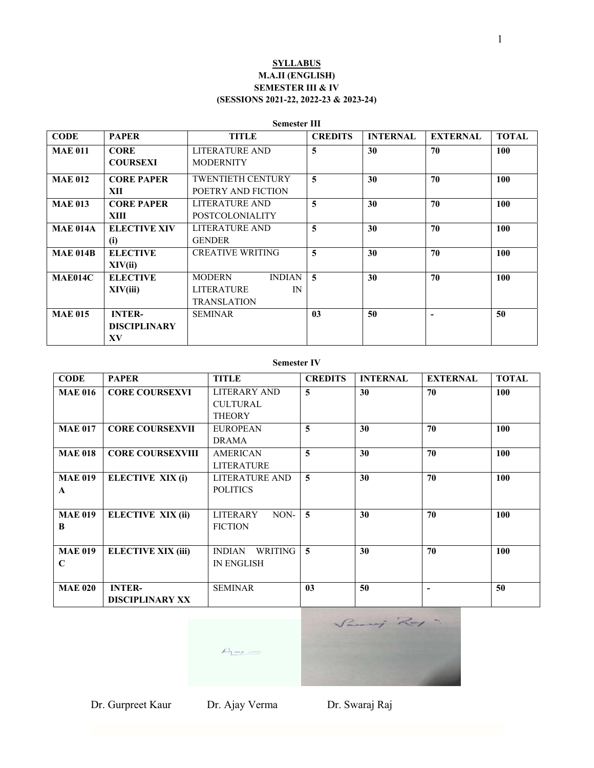## **SYLLABUS M.A.II (ENGLISH) SEMESTER III & IV (SESSIONS 2021-22, 2022-23 & 2023-24)**

#### **Semester III**

| <b>CODE</b>     | <b>PAPER</b>        | <b>TITLE</b>                   | <b>CREDITS</b>          | <b>INTERNAL</b> | <b>EXTERNAL</b> | <b>TOTAL</b> |
|-----------------|---------------------|--------------------------------|-------------------------|-----------------|-----------------|--------------|
| <b>MAE 011</b>  | <b>CORE</b>         | LITERATURE AND                 | 5                       | 30              | 70              | 100          |
|                 | <b>COURSEXI</b>     | <b>MODERNITY</b>               |                         |                 |                 |              |
| <b>MAE 012</b>  | <b>CORE PAPER</b>   | <b>TWENTIETH CENTURY</b>       | 5                       | 30              | 70              | 100          |
|                 | XII                 | POETRY AND FICTION             |                         |                 |                 |              |
| <b>MAE 013</b>  | <b>CORE PAPER</b>   | LITERATURE AND                 | 5                       | 30              | 70              | 100          |
|                 | XIII                | <b>POSTCOLONIALITY</b>         |                         |                 |                 |              |
| <b>MAE 014A</b> | <b>ELECTIVE XIV</b> | LITERATURE AND                 | 5                       | 30              | 70              | 100          |
|                 | (i)                 | <b>GENDER</b>                  |                         |                 |                 |              |
| <b>MAE 014B</b> | <b>ELECTIVE</b>     | <b>CREATIVE WRITING</b>        | 5                       | 30              | 70              | 100          |
|                 | XIV(ii)             |                                |                         |                 |                 |              |
| <b>MAE014C</b>  | <b>ELECTIVE</b>     | <b>INDIAN</b><br><b>MODERN</b> | $\overline{\mathbf{5}}$ | 30              | 70              | 100          |
|                 | XIV(iii)            | <b>LITERATURE</b><br>IN        |                         |                 |                 |              |
|                 |                     | <b>TRANSLATION</b>             |                         |                 |                 |              |
| <b>MAE 015</b>  | <b>INTER-</b>       | <b>SEMINAR</b>                 | 0 <sub>3</sub>          | 50              |                 | 50           |
|                 | <b>DISCIPLINARY</b> |                                |                         |                 |                 |              |
|                 | XV                  |                                |                         |                 |                 |              |

#### **Semester IV**

| <b>CODE</b>    | <b>PAPER</b>            | TITLE                    | <b>CREDITS</b>          | <b>INTERNAL</b> | <b>EXTERNAL</b> | <b>TOTAL</b> |
|----------------|-------------------------|--------------------------|-------------------------|-----------------|-----------------|--------------|
| <b>MAE 016</b> | <b>CORE COURSEXVI</b>   | <b>LITERARY AND</b>      | 5                       | 30              | 70              | 100          |
|                |                         | <b>CULTURAL</b>          |                         |                 |                 |              |
|                |                         | <b>THEORY</b>            |                         |                 |                 |              |
| <b>MAE 017</b> | <b>CORE COURSEXVII</b>  | <b>EUROPEAN</b>          | 5                       | 30              | 70              | 100          |
|                |                         | <b>DRAMA</b>             |                         |                 |                 |              |
| <b>MAE 018</b> | <b>CORE COURSEXVIII</b> | <b>AMERICAN</b>          | 5                       | 30              | 70              | 100          |
|                |                         | <b>LITERATURE</b>        |                         |                 |                 |              |
| <b>MAE 019</b> | ELECTIVE XIX (i)        | <b>LITERATURE AND</b>    | 5                       | 30              | 70              | 100          |
| $\mathbf{A}$   |                         | <b>POLITICS</b>          |                         |                 |                 |              |
|                |                         |                          |                         |                 |                 |              |
| <b>MAE 019</b> | ELECTIVE XIX (ii)       | NON-<br><b>LITERARY</b>  | $\overline{\mathbf{5}}$ | 30              | 70              | 100          |
| B              |                         | <b>FICTION</b>           |                         |                 |                 |              |
|                |                         |                          |                         |                 |                 |              |
| <b>MAE 019</b> | ELECTIVE XIX (iii)      | <b>INDIAN</b><br>WRITING | $\overline{5}$          | 30              | 70              | 100          |
| C              |                         | <b>IN ENGLISH</b>        |                         |                 |                 |              |
|                |                         |                          |                         |                 |                 |              |
| <b>MAE 020</b> | <b>INTER-</b>           | <b>SEMINAR</b>           | 0 <sub>3</sub>          | 50              |                 | 50           |
|                | <b>DISCIPLINARY XX</b>  |                          |                         |                 |                 |              |



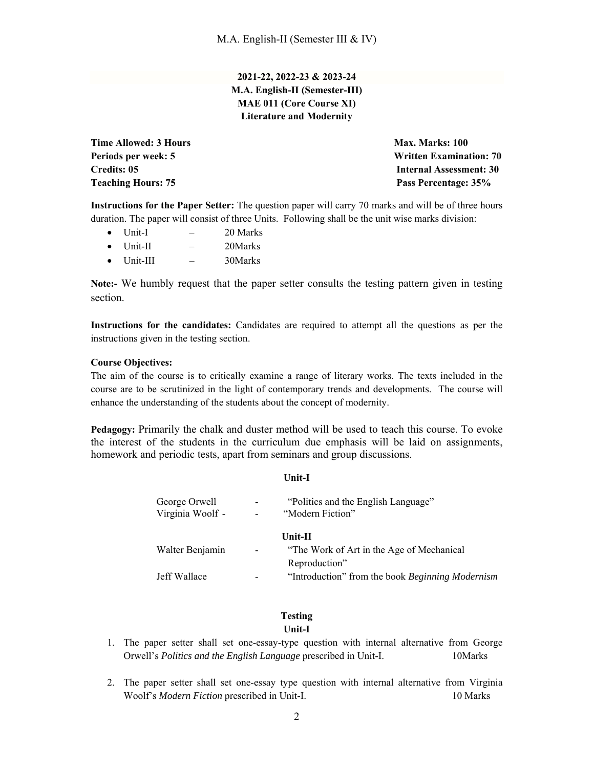**2021-22, 2022-23 & 2023-24 M.A. English-II (Semester-III) MAE 011 (Core Course XI) Literature and Modernity** 

**Time Allowed: 3 Hours Max. Marks: 100 Teaching Hours: 75 Pass Percentage: 35%** 

**Periods per week: 5 Written Examination: 70 Credits: 05 Internal Assessment: 30** 

**Instructions for the Paper Setter:** The question paper will carry 70 marks and will be of three hours duration. The paper will consist of three Units. Following shall be the unit wise marks division:

- $\bullet$  Unit-I  $-$  20 Marks
- Unit-II 20Marks
- Unit-III 30Marks

**Note:-** We humbly request that the paper setter consults the testing pattern given in testing section.

**Instructions for the candidates:** Candidates are required to attempt all the questions as per the instructions given in the testing section.

#### **Course Objectives:**

The aim of the course is to critically examine a range of literary works. The texts included in the course are to be scrutinized in the light of contemporary trends and developments. The course will enhance the understanding of the students about the concept of modernity.

**Pedagogy:** Primarily the chalk and duster method will be used to teach this course. To evoke the interest of the students in the curriculum due emphasis will be laid on assignments, homework and periodic tests, apart from seminars and group discussions.

**Unit-I**

| "Politics and the English Language"              |
|--------------------------------------------------|
|                                                  |
| "The Work of Art in the Age of Mechanical"       |
| "Introduction" from the book Beginning Modernism |
|                                                  |

## **Testing Unit-I**

- 1. The paper setter shall set one-essay-type question with internal alternative from George Orwell's *Politics and the English Language* prescribed in Unit-I. 10Marks
- 2. The paper setter shall set one-essay type question with internal alternative from Virginia Woolf's *Modern Fiction* prescribed in Unit-I. 10 Marks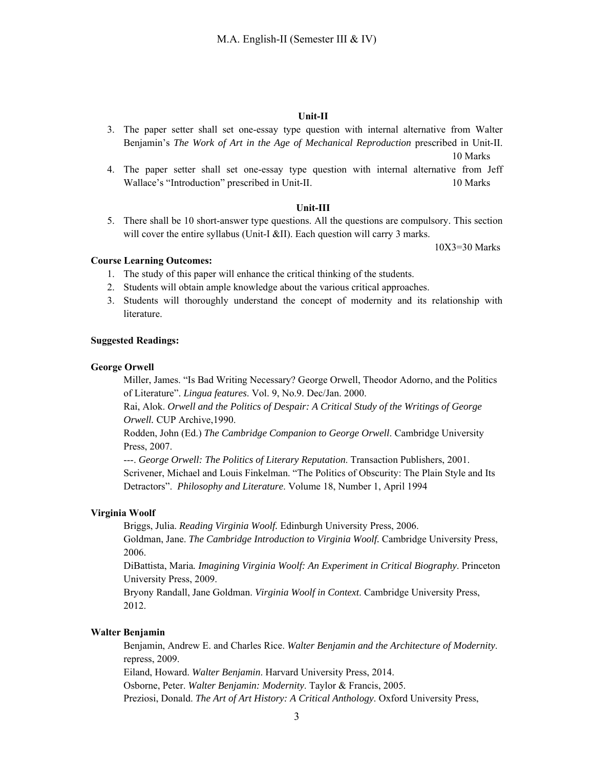#### **Unit-II**

- 3. The paper setter shall set one-essay type question with internal alternative from Walter Benjamin's *The Work of Art in the Age of Mechanical Reproduction* prescribed in Unit-II. 10 Marks
- 4. The paper setter shall set one-essay type question with internal alternative from Jeff Wallace's "Introduction" prescribed in Unit-II. 10 Marks

#### **Unit-III**

5. There shall be 10 short-answer type questions. All the questions are compulsory. This section will cover the entire syllabus (Unit-I &II). Each question will carry 3 marks.

10X3=30 Marks

#### **Course Learning Outcomes:**

- 1. The study of this paper will enhance the critical thinking of the students.
- 2. Students will obtain ample knowledge about the various critical approaches.
- 3. Students will thoroughly understand the concept of modernity and its relationship with literature.

#### **Suggested Readings:**

#### **George Orwell**

Miller, James. "Is Bad Writing Necessary? George Orwell, Theodor Adorno, and the Politics of Literature". *Lingua features*. Vol. 9, No.9. Dec/Jan. 2000.

Rai, Alok. *Orwell and the Politics of Despair: A Critical Study of the Writings of George Orwell.* CUP Archive,1990.

Rodden, John (Ed.) *The Cambridge Companion to George Orwell*. Cambridge University Press, 2007.

---. *George Orwell: The Politics of Literary Reputation*. Transaction Publishers, 2001. Scrivener, Michael and Louis Finkelman. "The Politics of Obscurity: The Plain Style and Its Detractors". *Philosophy and Literature*. Volume 18, Number 1, April 1994

#### **Virginia Woolf**

Briggs, Julia. *Reading Virginia Woolf.* Edinburgh University Press, 2006. Goldman, Jane. *The Cambridge Introduction to Virginia Woolf.* Cambridge University Press, 2006.

DiBattista, Maria*. Imagining Virginia Woolf: An Experiment in Critical Biography*. Princeton University Press, 2009.

Bryony Randall, Jane Goldman. *Virginia Woolf in Context*. Cambridge University Press, 2012.

#### **Walter Benjamin**

Benjamin, Andrew E. and Charles Rice. *Walter Benjamin and the Architecture of Modernity*. repress, 2009. Eiland, Howard. *Walter Benjamin*. Harvard University Press, 2014. Osborne, Peter. *Walter Benjamin: Modernity*. Taylor & Francis, 2005. Preziosi, Donald. *The Art of Art History: A Critical Anthology*. Oxford University Press,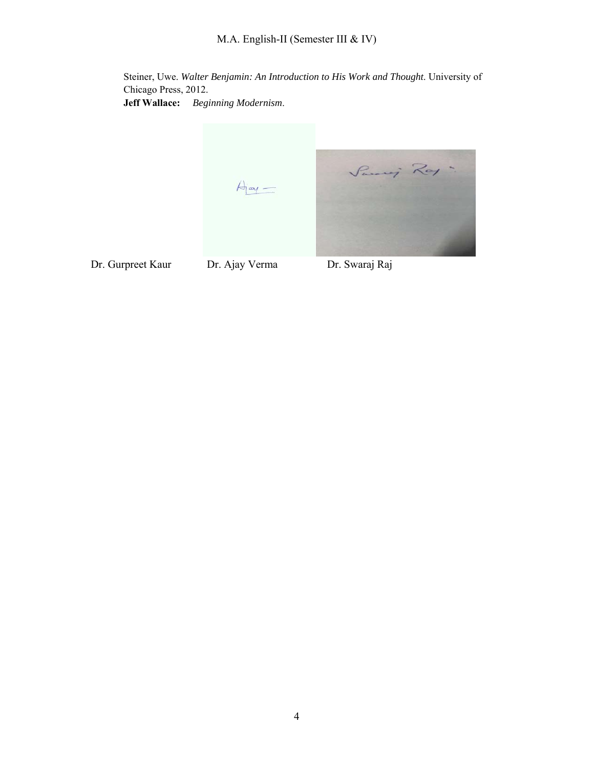M.A. English-II (Semester III & IV)

Steiner, Uwe. *Walter Benjamin: An Introduction to His Work and Thought*. University of Chicago Press, 2012. **Jeff Wallace:** *Beginning Modernism*.

> Samig Ray  $A_{\underline{a}\underline{v}}-$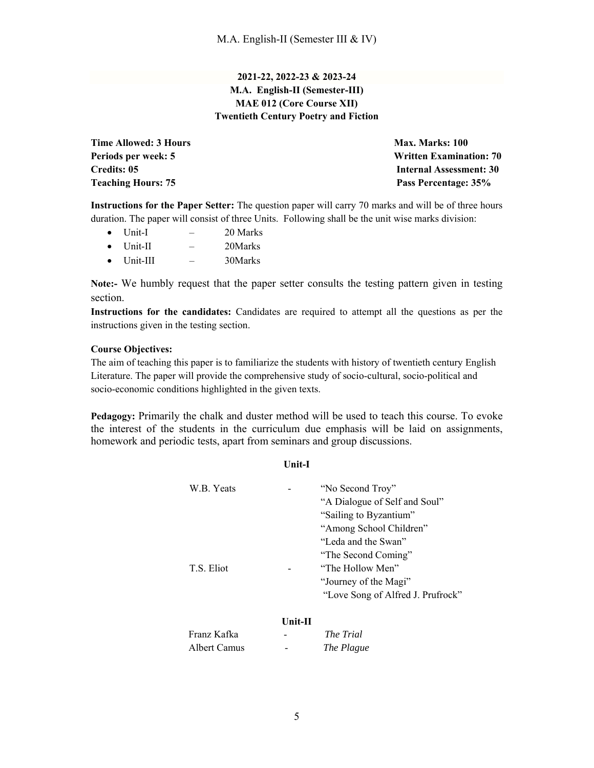## **2021-22, 2022-23 & 2023-24 M.A. English-II (Semester-III) MAE 012 (Core Course XII) Twentieth Century Poetry and Fiction**

**Time Allowed: 3 Hours Max. Marks: 100 Max. Marks: 100 Teaching Hours: 75 Pass Percentage: 35%** 

**Periods per week: 5 Written Examination: 70 Credits: 05 Internal Assessment: 30** 

**Instructions for the Paper Setter:** The question paper will carry 70 marks and will be of three hours duration. The paper will consist of three Units. Following shall be the unit wise marks division:

- $\bullet$  Unit-I  $-$  20 Marks
- $\bullet$  Unit-II  $-$  20Marks
- Unit-III 30Marks

**Note:-** We humbly request that the paper setter consults the testing pattern given in testing section.

**Instructions for the candidates:** Candidates are required to attempt all the questions as per the instructions given in the testing section.

#### **Course Objectives:**

The aim of teaching this paper is to familiarize the students with history of twentieth century English Literature. The paper will provide the comprehensive study of socio-cultural, socio-political and socio-economic conditions highlighted in the given texts.

**Pedagogy:** Primarily the chalk and duster method will be used to teach this course. To evoke the interest of the students in the curriculum due emphasis will be laid on assignments, homework and periodic tests, apart from seminars and group discussions.

| ×<br>٧ | . .<br>۰. |  |
|--------|-----------|--|

| W.B. Yeats<br>T.S. Eliot    |           | "No Second Troy"<br>"A Dialogue of Self and Soul"<br>"Sailing to Byzantium"<br>"Among School Children"<br>"Leda and the Swan"<br>"The Second Coming"<br>"The Hollow Men"<br>"Journey of the Magi"<br>"Love Song of Alfred J. Prufrock" |
|-----------------------------|-----------|----------------------------------------------------------------------------------------------------------------------------------------------------------------------------------------------------------------------------------------|
|                             | $Unit-II$ |                                                                                                                                                                                                                                        |
| Franz Kafka<br>Albert Camus |           | The Trial<br>The Plague                                                                                                                                                                                                                |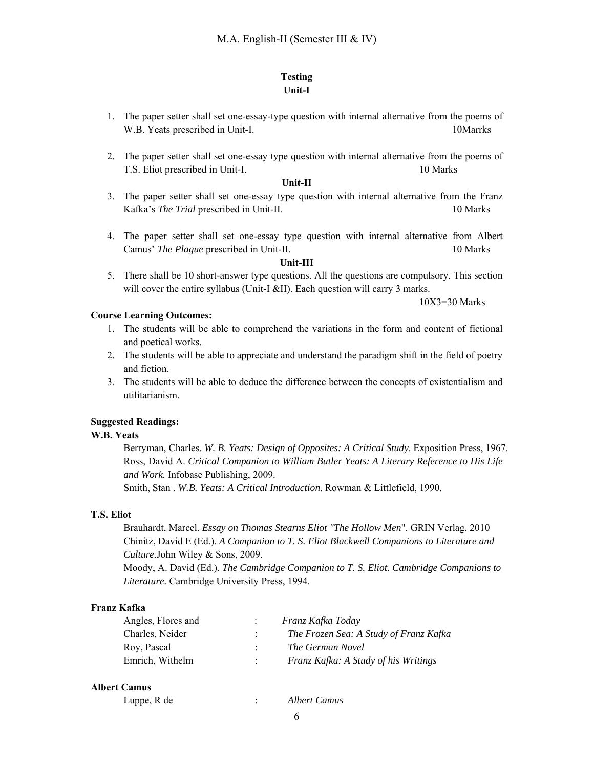## **Testing Unit-I**

- 1. The paper setter shall set one-essay-type question with internal alternative from the poems of W.B. Yeats prescribed in Unit-I. 10Marrks
- 2. The paper setter shall set one-essay type question with internal alternative from the poems of T.S. Eliot prescribed in Unit-I. 10 Marks

#### **Unit-II**

- 3. The paper setter shall set one-essay type question with internal alternative from the Franz Kafka's *The Trial* prescribed in Unit-II. 10 Marks
- 4. The paper setter shall set one-essay type question with internal alternative from Albert Camus' *The Plague* prescribed in Unit-II. 10 Marks

#### **Unit-III**

5. There shall be 10 short-answer type questions. All the questions are compulsory. This section will cover the entire syllabus (Unit-I &II). Each question will carry 3 marks.

10X3=30 Marks

## **Course Learning Outcomes:**

- 1. The students will be able to comprehend the variations in the form and content of fictional and poetical works.
- 2. The students will be able to appreciate and understand the paradigm shift in the field of poetry and fiction.
- 3. The students will be able to deduce the difference between the concepts of existentialism and utilitarianism.

## **Suggested Readings:**

## **W.B. Yeats**

Berryman, Charles. *W. B. Yeats: Design of Opposites: A Critical Study*. Exposition Press, 1967. Ross, David A. *Critical Companion to William Butler Yeats: A Literary Reference to His Life and Work.* Infobase Publishing, 2009.

Smith, Stan . *W.B. Yeats: A Critical Introduction*. Rowman & Littlefield, 1990.

#### **T.S. Eliot**

Brauhardt, Marcel. *Essay on Thomas Stearns Eliot "The Hollow Men*". GRIN Verlag, 2010 Chinitz, David E (Ed.). *A Companion to T. S. Eliot Blackwell Companions to Literature and Culture.*John Wiley & Sons, 2009.

Moody, A. David (Ed.). *The Cambridge Companion to T. S. Eliot. Cambridge Companions to Literature.* Cambridge University Press, 1994.

## **Franz Kafka**

| Angles, Flores and | Franz Kafka Today                      |
|--------------------|----------------------------------------|
| Charles, Neider    | The Frozen Sea: A Study of Franz Kafka |
| Roy, Pascal        | The German Novel                       |
| Emrich, Withelm    | Franz Kafka: A Study of his Writings   |

#### **Albert Camus**

| Luppe, R de | Albert Camus |
|-------------|--------------|
|             |              |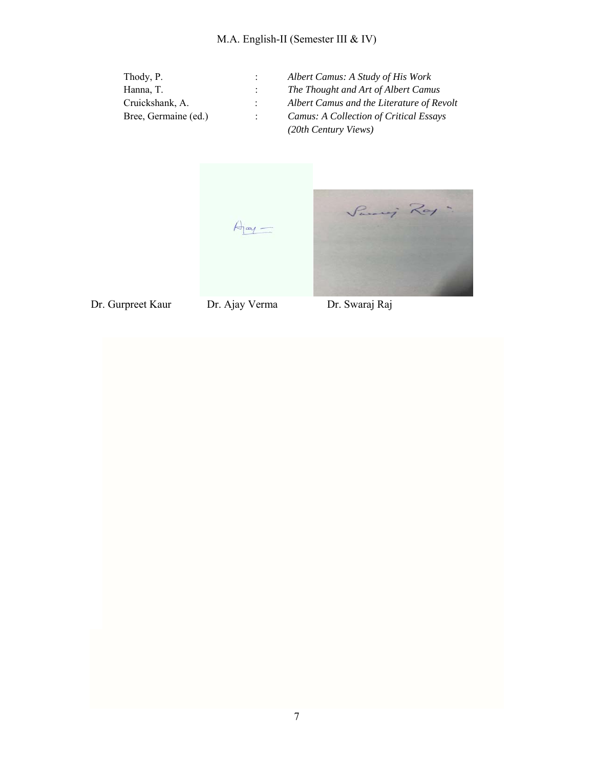| Thody, P.            | Albert Camus: A Study of His Work         |
|----------------------|-------------------------------------------|
| Hanna, T.            | The Thought and Art of Albert Camus       |
| Cruickshank, A.      | Albert Camus and the Literature of Revolt |
| Bree, Germaine (ed.) | Camus: A Collection of Critical Essays    |
|                      | (20th Century Views)                      |

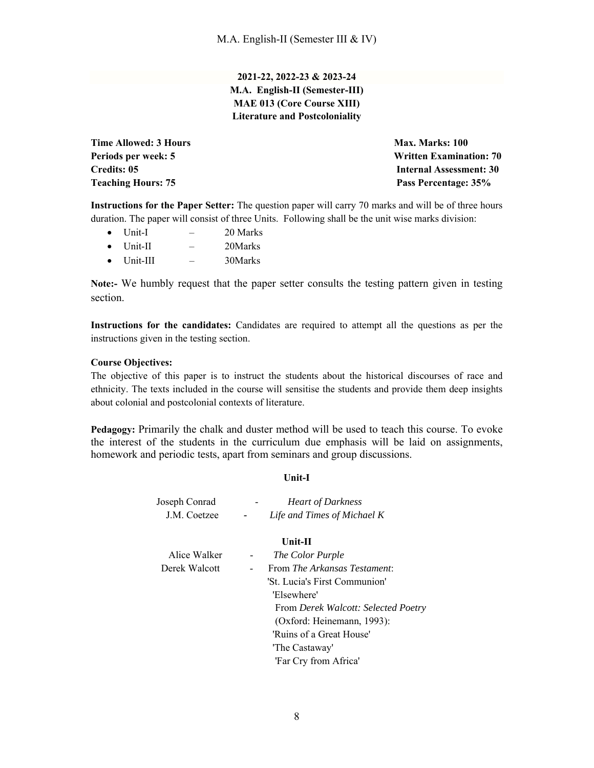**2021-22, 2022-23 & 2023-24 M.A. English-II (Semester-III) MAE 013 (Core Course XIII) Literature and Postcoloniality** 

**Time Allowed: 3 Hours Max. Marks: 100 Max. Marks: 100 Teaching Hours: 75 Pass Percentage: 35%** 

**Periods per week: 5 Written Examination: 70 Credits: 05 Internal Assessment: 30** 

**Instructions for the Paper Setter:** The question paper will carry 70 marks and will be of three hours duration. The paper will consist of three Units. Following shall be the unit wise marks division:

- $\bullet$  Unit-I  $-$  20 Marks
- $\bullet$  Unit-II  $-$  20Marks
- Unit-III 30Marks

**Note:-** We humbly request that the paper setter consults the testing pattern given in testing section.

**Instructions for the candidates:** Candidates are required to attempt all the questions as per the instructions given in the testing section.

## **Course Objectives:**

The objective of this paper is to instruct the students about the historical discourses of race and ethnicity. The texts included in the course will sensitise the students and provide them deep insights about colonial and postcolonial contexts of literature.

**Pedagogy:** Primarily the chalk and duster method will be used to teach this course. To evoke the interest of the students in the curriculum due emphasis will be laid on assignments, homework and periodic tests, apart from seminars and group discussions.

#### **Unit-I**

| Joseph Conrad | $\overline{\phantom{a}}$ | <b>Heart of Darkness</b>    |
|---------------|--------------------------|-----------------------------|
| J.M. Coetzee  | $\overline{\phantom{0}}$ | Life and Times of Michael K |

#### **Unit-II**

| Alice Walker  | $\sim$                   | The Color Purple                    |
|---------------|--------------------------|-------------------------------------|
| Derek Walcott | $\overline{\phantom{a}}$ | From The Arkansas Testament:        |
|               |                          | 'St. Lucia's First Communion'       |
|               |                          | 'Elsewhere'                         |
|               |                          | From Derek Walcott: Selected Poetry |
|               |                          | (Oxford: Heinemann, 1993):          |
|               |                          | 'Ruins of a Great House'            |
|               |                          | 'The Castaway'                      |
|               |                          | 'Far Cry from Africa'               |
|               |                          |                                     |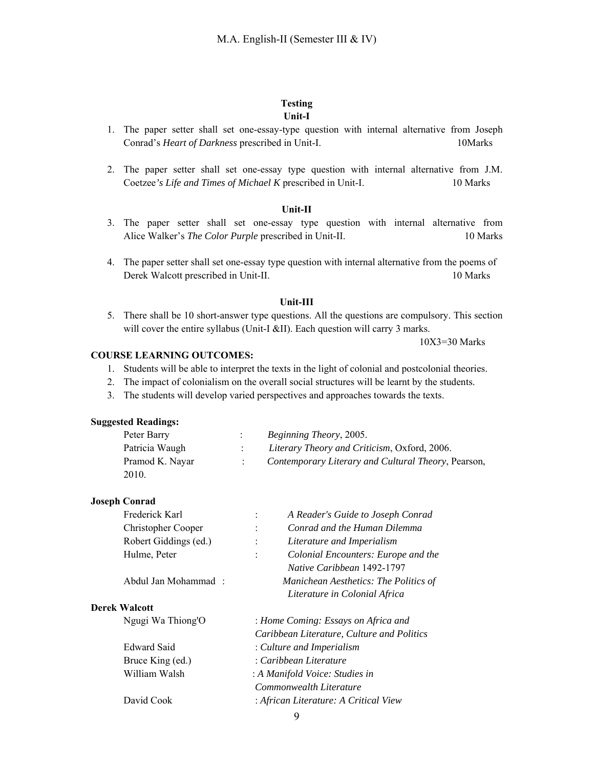## **Testing Unit-I**

- 1. The paper setter shall set one-essay-type question with internal alternative from Joseph Conrad's *Heart of Darkness* prescribed in Unit-I. 10Marks
- 2. The paper setter shall set one-essay type question with internal alternative from J.M. Coetzee*'s Life and Times of Michael K* prescribed in Unit-I. 10 Marks

#### **Unit-II**

- 3. The paper setter shall set one-essay type question with internal alternative from Alice Walker's *The Color Purple* prescribed in Unit-II. 10 Marks
- 4. The paper setter shall set one-essay type question with internal alternative from the poems of Derek Walcott prescribed in Unit-II. 10 Marks

#### **Unit-III**

5. There shall be 10 short-answer type questions. All the questions are compulsory. This section will cover the entire syllabus (Unit-I &II). Each question will carry 3 marks.

10X3=30 Marks

## **COURSE LEARNING OUTCOMES:**

- 1. Students will be able to interpret the texts in the light of colonial and postcolonial theories.
- 2. The impact of colonialism on the overall social structures will be learnt by the students.
- 3. The students will develop varied perspectives and approaches towards the texts.

## **Suggested Readings:**

| Peter Barry     | <i>Beginning Theory, 2005.</i>                      |
|-----------------|-----------------------------------------------------|
| Patricia Waugh  | Literary Theory and Criticism, Oxford, 2006.        |
| Pramod K. Nayar | Contemporary Literary and Cultural Theory, Pearson, |
| 2010.           |                                                     |

#### **Joseph Conrad**

| Frederick Karl        | A Reader's Guide to Joseph Conrad<br>$\ddot{\cdot}$   |  |
|-----------------------|-------------------------------------------------------|--|
| Christopher Cooper    | Conrad and the Human Dilemma<br>$\ddot{\cdot}$        |  |
| Robert Giddings (ed.) | Literature and Imperialism<br>$\ddot{\cdot}$          |  |
| Hulme, Peter          | Colonial Encounters: Europe and the<br>$\ddot{\cdot}$ |  |
|                       | Native Caribbean 1492-1797                            |  |
| Abdul Jan Mohammad:   | Manichean Aesthetics: The Politics of                 |  |
|                       | Literature in Colonial Africa                         |  |
| <b>Derek Walcott</b>  |                                                       |  |
| Ngugi Wa Thiong'O     | : Home Coming: Essays on Africa and                   |  |
|                       | Caribbean Literature, Culture and Politics            |  |
| <b>Edward Said</b>    | : Culture and Imperialism                             |  |
| Bruce King (ed.)      | : Caribbean Literature                                |  |
| William Walsh         | : A Manifold Voice: Studies in                        |  |
|                       | Commonwealth Literature                               |  |
| David Cook            | : African Literature: A Critical View                 |  |
|                       | $\Omega$                                              |  |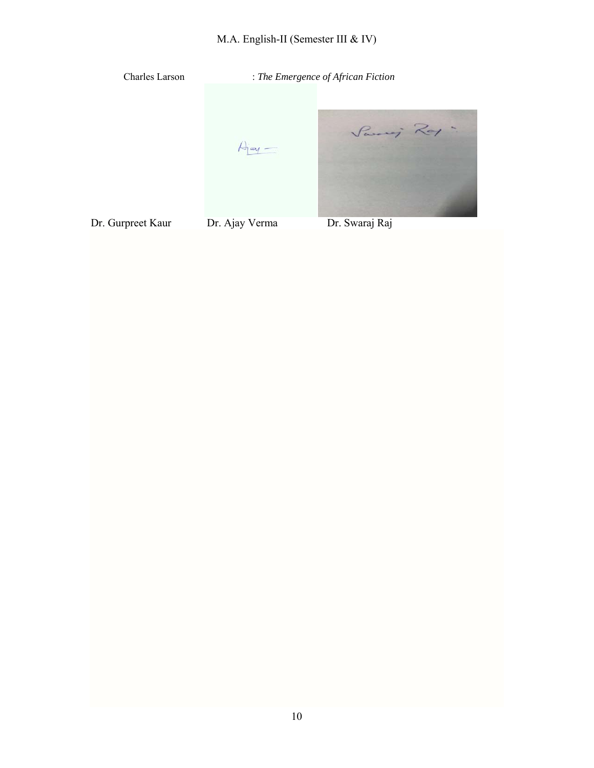# M.A. English-II (Semester III & IV)

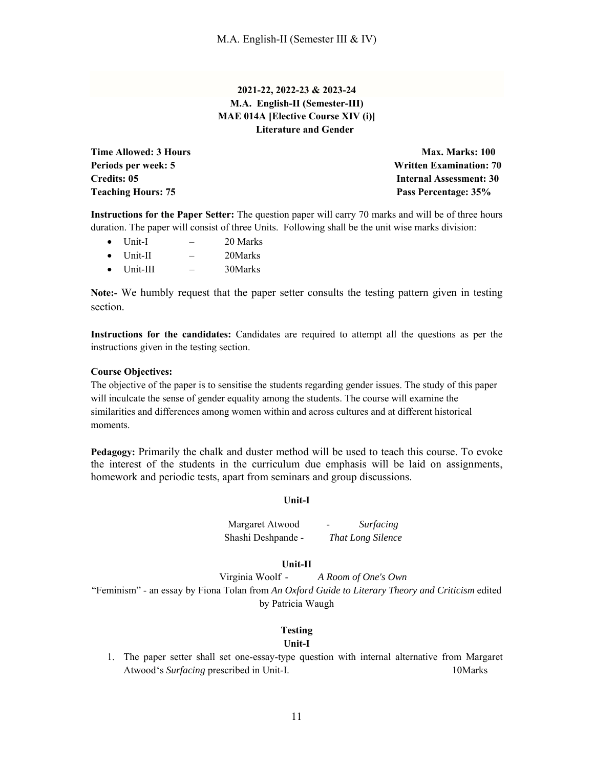## **2021-22, 2022-23 & 2023-24 M.A. English-II (Semester-III) MAE 014A [Elective Course XIV (i)] Literature and Gender**

**Teaching Hours: 75 Pass Percentage: 35%** 

**Time Allowed: 3 Hours Max. Marks: 100 Max. Marks: 100** Periods per week: 5 **Written Examination: 70 Credits: 05 Internal Assessment: 30** 

**Instructions for the Paper Setter:** The question paper will carry 70 marks and will be of three hours duration. The paper will consist of three Units. Following shall be the unit wise marks division:

- Unit-I 20 Marks
- Unit-II 20Marks
- $\bullet$  Unit-III  $-$  30Marks

**Note:-** We humbly request that the paper setter consults the testing pattern given in testing section.

**Instructions for the candidates:** Candidates are required to attempt all the questions as per the instructions given in the testing section.

#### **Course Objectives:**

The objective of the paper is to sensitise the students regarding gender issues. The study of this paper will inculcate the sense of gender equality among the students. The course will examine the similarities and differences among women within and across cultures and at different historical moments.

**Pedagogy:** Primarily the chalk and duster method will be used to teach this course. To evoke the interest of the students in the curriculum due emphasis will be laid on assignments, homework and periodic tests, apart from seminars and group discussions.

#### **Unit-I**

Margaret Atwood - *Surfacing* Shashi Deshpande - *That Long Silence* 

#### **Unit-II**

Virginia Woolf - *A Room of One's Own*  "Feminism" - an essay by Fiona Tolan from *An Oxford Guide to Literary Theory and Criticism* edited by Patricia Waugh

#### **Testing**

#### **Unit-I**

1. The paper setter shall set one-essay-type question with internal alternative from Margaret Atwood's *Surfacing* prescribed in Unit-I. 10Marks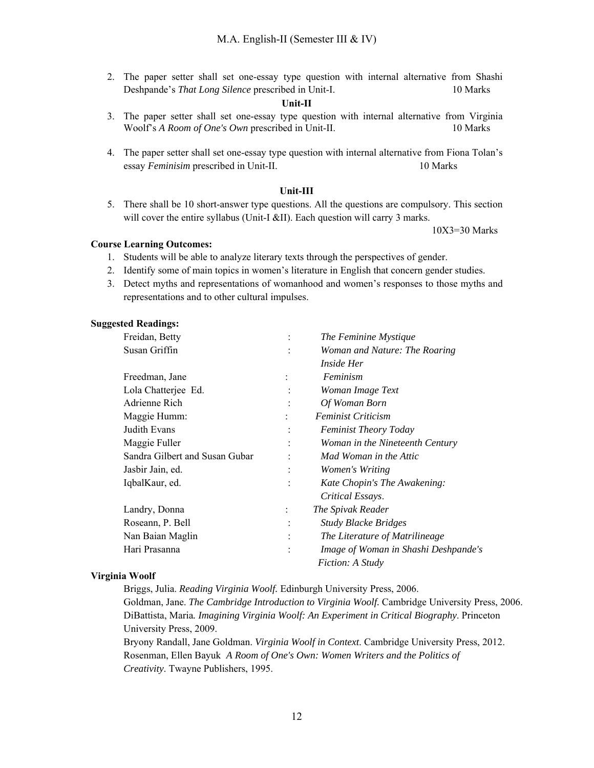2. The paper setter shall set one-essay type question with internal alternative from Shashi Deshpande's *That Long Silence* prescribed in Unit-I. 10 Marks

#### **Unit-II**

- 3. The paper setter shall set one-essay type question with internal alternative from Virginia Woolf's *A Room of One's Own* prescribed in Unit-II. 10 Marks
- 4. The paper setter shall set one-essay type question with internal alternative from Fiona Tolan's essay *Feminisim* prescribed in Unit-II. 10 Marks

#### **Unit-III**

5. There shall be 10 short-answer type questions. All the questions are compulsory. This section will cover the entire syllabus (Unit-I &II). Each question will carry 3 marks.

10X3=30 Marks

#### **Course Learning Outcomes:**

- 1. Students will be able to analyze literary texts through the perspectives of gender.
- 2. Identify some of main topics in women's literature in English that concern gender studies.
- 3. Detect myths and representations of womanhood and women's responses to those myths and representations and to other cultural impulses.

#### **Suggested Readings:**

| Freidan, Betty                 | $\ddot{\cdot}$ | The Feminine Mystique                |
|--------------------------------|----------------|--------------------------------------|
| Susan Griffin                  |                | Woman and Nature: The Roaring        |
|                                |                | <i>Inside Her</i>                    |
| Freedman, Jane                 | $\ddot{\cdot}$ | Feminism                             |
| Lola Chatterjee Ed.            |                | Woman Image Text                     |
| Adrienne Rich                  |                | Of Woman Born                        |
| Maggie Humm:                   |                | <b>Feminist Criticism</b>            |
| Judith Evans                   |                | <b>Feminist Theory Today</b>         |
| Maggie Fuller                  | $\ddot{\cdot}$ | Woman in the Nineteenth Century      |
| Sandra Gilbert and Susan Gubar |                | Mad Woman in the Attic               |
| Jasbir Jain, ed.               | $\ddot{\cdot}$ | Women's Writing                      |
| IqbalKaur, ed.                 |                | Kate Chopin's The Awakening:         |
|                                |                | Critical Essays.                     |
| Landry, Donna                  | $\ddot{\cdot}$ | The Spivak Reader                    |
| Roseann, P. Bell               |                | <b>Study Blacke Bridges</b>          |
| Nan Baian Maglin               | $\ddot{\cdot}$ | The Literature of Matrilineage       |
| Hari Prasanna                  |                | Image of Woman in Shashi Deshpande's |
|                                |                | <i>Fiction: A Study</i>              |

#### **Virginia Woolf**

Briggs, Julia. *Reading Virginia Woolf.* Edinburgh University Press, 2006.

Goldman, Jane. *The Cambridge Introduction to Virginia Woolf.* Cambridge University Press, 2006. DiBattista, Maria*. Imagining Virginia Woolf: An Experiment in Critical Biography*. Princeton University Press, 2009.

Bryony Randall, Jane Goldman. *Virginia Woolf in Context*. Cambridge University Press, 2012. Rosenman, Ellen Bayuk *A Room of One's Own: Women Writers and the Politics of Creativity*. Twayne Publishers, 1995.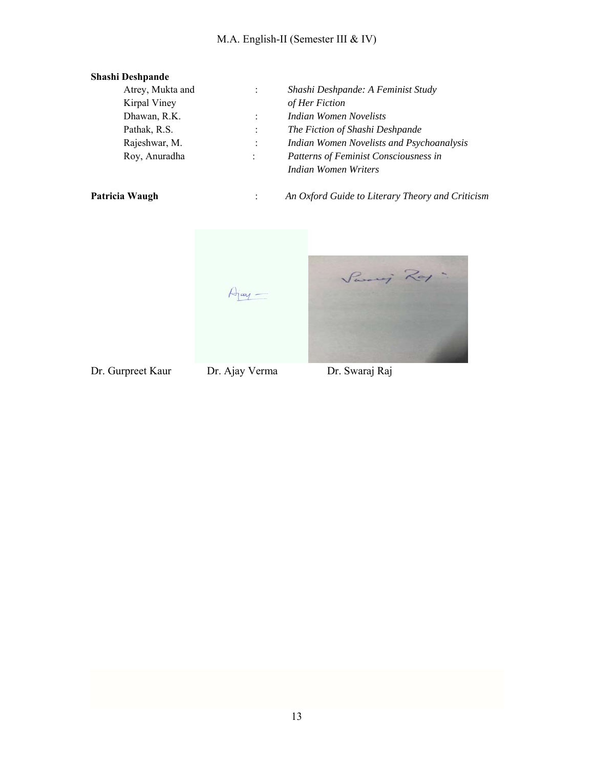# M.A. English-II (Semester III & IV)

| <b>Shashi Deshpande</b> |                |                                                  |
|-------------------------|----------------|--------------------------------------------------|
| Atrey, Mukta and        | $\ddot{\cdot}$ | Shashi Deshpande: A Feminist Study               |
| Kirpal Viney            |                | of Her Fiction                                   |
| Dhawan, R.K.            |                | Indian Women Novelists                           |
| Pathak, R.S.            | $\vdots$       | The Fiction of Shashi Deshpande                  |
| Rajeshwar, M.           | $\vdots$       | Indian Women Novelists and Psychoanalysis        |
| Roy, Anuradha           | $\ddot{\cdot}$ | Patterns of Feminist Consciousness in            |
|                         |                | Indian Women Writers                             |
| Patricia Waugh          |                | An Oxford Guide to Literary Theory and Criticism |

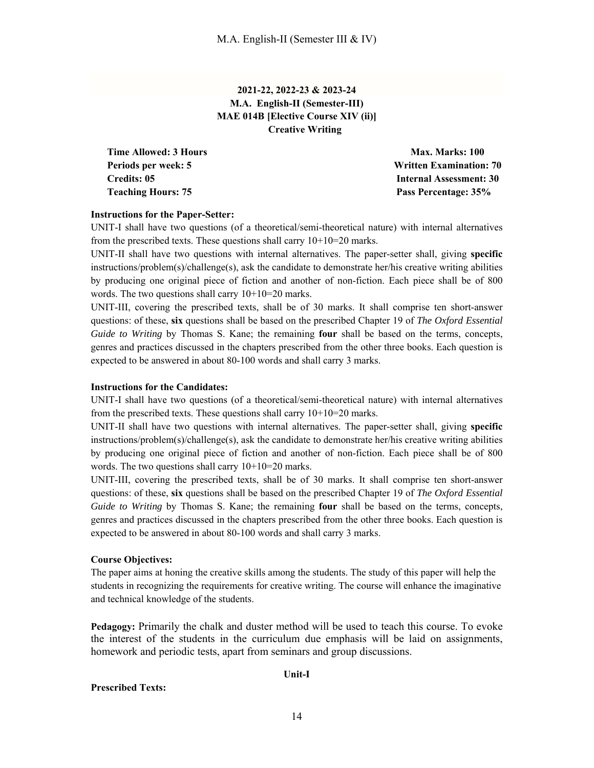## **2021-22, 2022-23 & 2023-24 M.A. English-II (Semester-III) MAE 014B [Elective Course XIV (ii)] Creative Writing**

**Time Allowed: 3 Hours Max. Marks: 100 Teaching Hours: 75 Pass Percentage: 35%** 

**Periods per week: 5 Written Examination: 70 Credits: 05 Internal Assessment: 30** 

## **Instructions for the Paper-Setter:**

UNIT-I shall have two questions (of a theoretical/semi-theoretical nature) with internal alternatives from the prescribed texts. These questions shall carry  $10+10=20$  marks.

UNIT-II shall have two questions with internal alternatives. The paper-setter shall, giving **specific** instructions/problem(s)/challenge(s), ask the candidate to demonstrate her/his creative writing abilities by producing one original piece of fiction and another of non-fiction. Each piece shall be of 800 words. The two questions shall carry  $10+10=20$  marks.

UNIT-III, covering the prescribed texts, shall be of 30 marks. It shall comprise ten short-answer questions: of these, **six** questions shall be based on the prescribed Chapter 19 of *The Oxford Essential Guide to Writing* by Thomas S. Kane; the remaining **four** shall be based on the terms, concepts, genres and practices discussed in the chapters prescribed from the other three books. Each question is expected to be answered in about 80-100 words and shall carry 3 marks.

#### **Instructions for the Candidates:**

UNIT-I shall have two questions (of a theoretical/semi-theoretical nature) with internal alternatives from the prescribed texts. These questions shall carry  $10+10=20$  marks.

UNIT-II shall have two questions with internal alternatives. The paper-setter shall, giving **specific** instructions/problem(s)/challenge(s), ask the candidate to demonstrate her/his creative writing abilities by producing one original piece of fiction and another of non-fiction. Each piece shall be of 800 words. The two questions shall carry  $10+10=20$  marks.

UNIT-III, covering the prescribed texts, shall be of 30 marks. It shall comprise ten short-answer questions: of these, **six** questions shall be based on the prescribed Chapter 19 of *The Oxford Essential Guide to Writing* by Thomas S. Kane; the remaining **four** shall be based on the terms, concepts, genres and practices discussed in the chapters prescribed from the other three books. Each question is expected to be answered in about 80-100 words and shall carry 3 marks.

#### **Course Objectives:**

The paper aims at honing the creative skills among the students. The study of this paper will help the students in recognizing the requirements for creative writing. The course will enhance the imaginative and technical knowledge of the students.

**Pedagogy:** Primarily the chalk and duster method will be used to teach this course. To evoke the interest of the students in the curriculum due emphasis will be laid on assignments, homework and periodic tests, apart from seminars and group discussions.

#### **Unit-I**

## **Prescribed Texts:**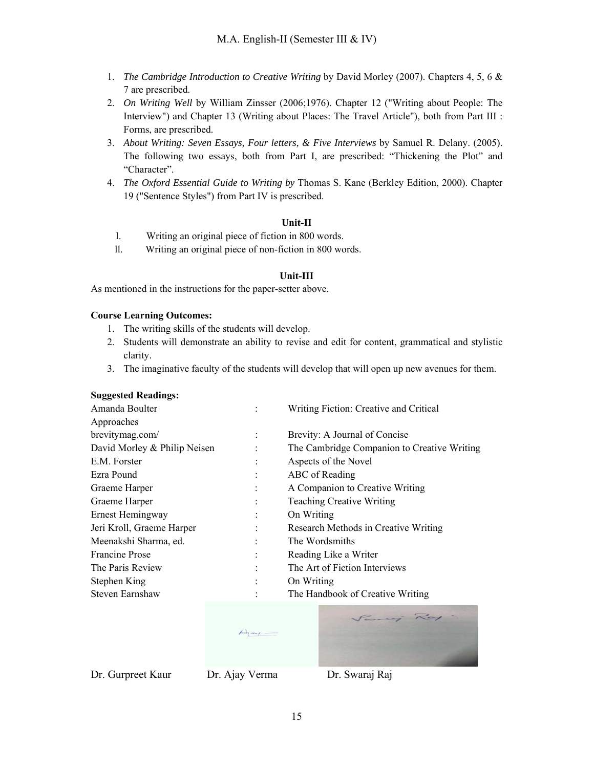- 1. *The Cambridge Introduction to Creative Writing* by David Morley (2007). Chapters 4, 5, 6 & 7 are prescribed.
- 2. *On Writing Well* by William Zinsser (2006;1976). Chapter 12 ("Writing about People: The Interview") and Chapter 13 (Writing about Places: The Travel Article"), both from Part III : Forms, are prescribed.
- 3. *About Writing: Seven Essays, Four letters, & Five Interviews* by Samuel R. Delany. (2005). The following two essays, both from Part I, are prescribed: "Thickening the Plot" and "Character".
- 4. *The Oxford Essential Guide to Writing by* Thomas S. Kane (Berkley Edition, 2000). Chapter 19 ("Sentence Styles") from Part IV is prescribed.

## **Unit-II**

- l. Writing an original piece of fiction in 800 words.
- ll. Writing an original piece of non-fiction in 800 words.

## **Unit-III**

As mentioned in the instructions for the paper-setter above.

## **Course Learning Outcomes:**

- 1. The writing skills of the students will develop.
- 2. Students will demonstrate an ability to revise and edit for content, grammatical and stylistic clarity.
- 3. The imaginative faculty of the students will develop that will open up new avenues for them.

#### **Suggested Readings:**

| Amanda Boulter               |                | Writing Fiction: Creative and Critical      |
|------------------------------|----------------|---------------------------------------------|
| Approaches                   |                |                                             |
| brevitymag.com/              | $\ddot{\cdot}$ | Brevity: A Journal of Concise               |
| David Morley & Philip Neisen | ٠              | The Cambridge Companion to Creative Writing |
| E.M. Forster                 |                | Aspects of the Novel                        |
| Ezra Pound                   |                | ABC of Reading                              |
| Graeme Harper                | :              | A Companion to Creative Writing             |
| Graeme Harper                |                | <b>Teaching Creative Writing</b>            |
| Ernest Hemingway             | $\ddot{\cdot}$ | On Writing                                  |
| Jeri Kroll, Graeme Harper    |                | Research Methods in Creative Writing        |
| Meenakshi Sharma, ed.        | ٠              | The Wordsmiths                              |
| <b>Francine Prose</b>        | $\bullet$      | Reading Like a Writer                       |
| The Paris Review             |                | The Art of Fiction Interviews               |
| Stephen King                 |                | On Writing                                  |
| Steven Earnshaw              |                | The Handbook of Creative Writing            |
|                              |                |                                             |

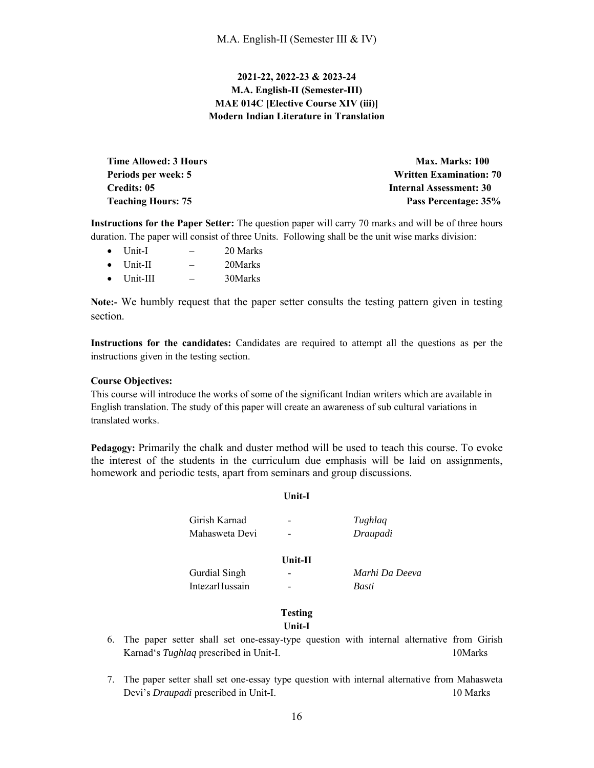## **2021-22, 2022-23 & 2023-24 M.A. English-II (Semester-III) MAE 014C [Elective Course XIV (iii)] Modern Indian Literature in Translation**

| <b>Time Allowed: 3 Hours</b> | <b>Max. Marks: 100</b>         |
|------------------------------|--------------------------------|
| Periods per week: 5          | <b>Written Examination: 70</b> |
| Credits: 05                  | <b>Internal Assessment: 30</b> |
| <b>Teaching Hours: 75</b>    | Pass Percentage: 35%           |

**Instructions for the Paper Setter:** The question paper will carry 70 marks and will be of three hours duration. The paper will consist of three Units. Following shall be the unit wise marks division:

- Unit-I 20 Marks
- Unit-II 20Marks
- Unit-III 30Marks

**Note:-** We humbly request that the paper setter consults the testing pattern given in testing section.

**Instructions for the candidates:** Candidates are required to attempt all the questions as per the instructions given in the testing section.

## **Course Objectives:**

This course will introduce the works of some of the significant Indian writers which are available in English translation. The study of this paper will create an awareness of sub cultural variations in translated works.

**Pedagogy:** Primarily the chalk and duster method will be used to teach this course. To evoke the interest of the students in the curriculum due emphasis will be laid on assignments, homework and periodic tests, apart from seminars and group discussions.

## **Unit-I**

Girish Karnad - *Tughlaq* Mahasweta Devi - *Draupadi*

#### **Unit-II**

 Gurdial Singh - *Marhi Da Deeva* IntezarHussain - *Basti*

# **Testing**

- **Unit-I**
- 6. The paper setter shall set one-essay-type question with internal alternative from Girish Karnad's *Tughlaq* prescribed in Unit-I. 10Marks
- 7. The paper setter shall set one-essay type question with internal alternative from Mahasweta Devi's *Draupadi* prescribed in Unit-I. 10 Marks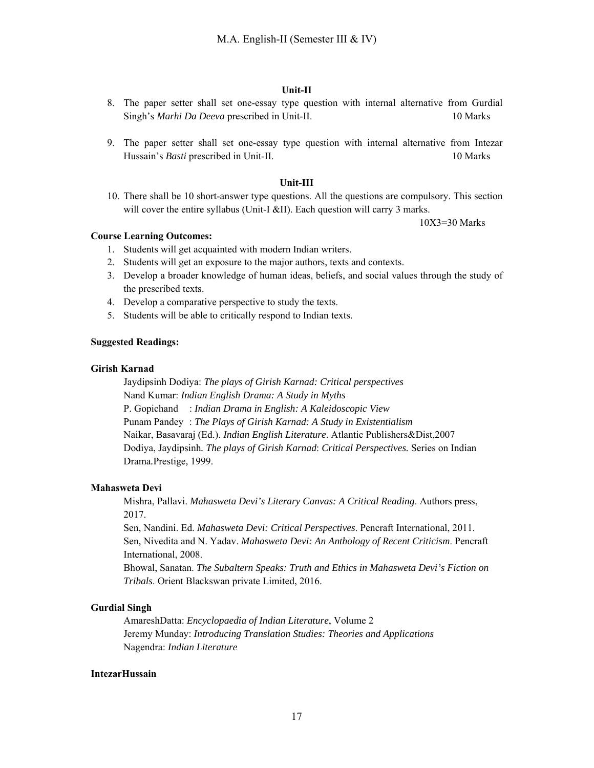#### **Unit-II**

- 8. The paper setter shall set one-essay type question with internal alternative from Gurdial Singh's *Marhi Da Deeva* prescribed in Unit-II. 10 Marks
- 9. The paper setter shall set one-essay type question with internal alternative from Intezar Hussain's *Basti* prescribed in Unit-II. 10 Marks

#### **Unit-III**

10. There shall be 10 short-answer type questions. All the questions are compulsory. This section will cover the entire syllabus (Unit-I &II). Each question will carry 3 marks.

10X3=30 Marks

## **Course Learning Outcomes:**

- 1. Students will get acquainted with modern Indian writers.
- 2. Students will get an exposure to the major authors, texts and contexts.
- 3. Develop a broader knowledge of human ideas, beliefs, and social values through the study of the prescribed texts.
- 4. Develop a comparative perspective to study the texts.
- 5. Students will be able to critically respond to Indian texts.

## **Suggested Readings:**

#### **Girish Karnad**

Jaydipsinh Dodiya: *The plays of Girish Karnad: Critical perspectives*  Nand Kumar: *Indian English Drama: A Study in Myths*  P. Gopichand : *Indian Drama in English: A Kaleidoscopic View* Punam Pandey : *The Plays of Girish Karnad: A Study in Existentialism* Naikar, Basavaraj (Ed.). *Indian English Literature*. Atlantic Publishers&Dist,2007 Dodiya, Jaydipsinh*. The plays of Girish Karnad*: *Critical Perspectives.* Series on Indian Drama*.*Prestige*,* 1999.

#### **Mahasweta Devi**

Mishra, Pallavi. *Mahasweta Devi's Literary Canvas: A Critical Reading*. Authors press, 2017.

Sen, Nandini. Ed. *Mahasweta Devi: Critical Perspectives*. Pencraft International, 2011. Sen, Nivedita and N. Yadav. *Mahasweta Devi: An Anthology of Recent Criticism*. Pencraft International, 2008.

Bhowal, Sanatan. *The Subaltern Speaks: Truth and Ethics in Mahasweta Devi's Fiction on Tribals*. Orient Blackswan private Limited, 2016.

#### **Gurdial Singh**

AmareshDatta: *Encyclopaedia of Indian Literature*, Volume 2 Jeremy Munday: *Introducing Translation Studies: Theories and Applications*  Nagendra: *Indian Literature*

#### **IntezarHussain**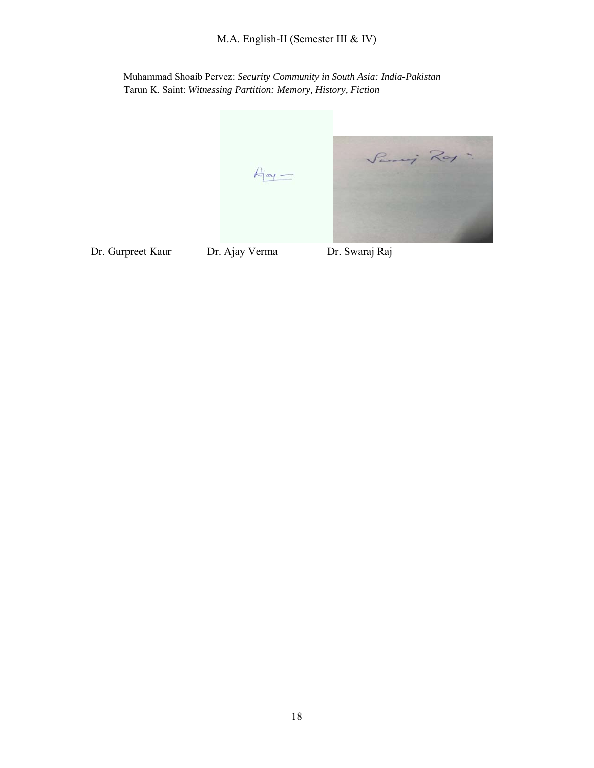M.A. English-II (Semester III & IV)

Muhammad Shoaib Pervez: *Security Community in South Asia: India-Pakistan*  Tarun K. Saint: *Witnessing Partition: Memory, History, Fiction* 

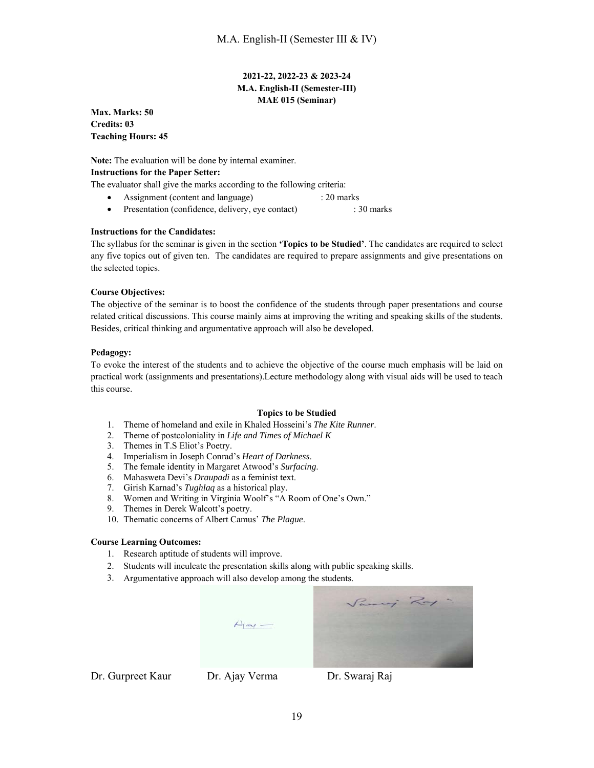## **2021-22, 2022-23 & 2023-24 M.A. English-II (Semester-III) MAE 015 (Seminar)**

**Max. Marks: 50 Credits: 03 Teaching Hours: 45** 

**Note:** The evaluation will be done by internal examiner. **Instructions for the Paper Setter:** 

The evaluator shall give the marks according to the following criteria:

- Assignment (content and language) : 20 marks
- Presentation (confidence, delivery, eye contact) : 30 marks

#### **Instructions for the Candidates:**

The syllabus for the seminar is given in the section **'Topics to be Studied'**. The candidates are required to select any five topics out of given ten. The candidates are required to prepare assignments and give presentations on the selected topics.

#### **Course Objectives:**

The objective of the seminar is to boost the confidence of the students through paper presentations and course related critical discussions. This course mainly aims at improving the writing and speaking skills of the students. Besides, critical thinking and argumentative approach will also be developed.

#### **Pedagogy:**

To evoke the interest of the students and to achieve the objective of the course much emphasis will be laid on practical work (assignments and presentations).Lecture methodology along with visual aids will be used to teach this course.

#### **Topics to be Studied**

- 1. Theme of homeland and exile in Khaled Hosseini's *The Kite Runner*.
- 2. Theme of postcoloniality in *Life and Times of Michael K*
- 2. Theme of postcoloniality in  $L_i$ <br>3. Themes in T.S Eliot's Poetry.
- 4. Imperialism in Joseph Conrad's *Heart of Darkness*.
- 5. The female identity in Margaret Atwood's *Surfacing*.
- 6. Mahasweta Devi's *Draupadi* as a feminist text.
- 7. Girish Karnad's *Tughlaq* as a historical play.
- 8. Women and Writing in Virginia Woolf's "A Room of One's Own."
- 9. Themes in Derek Walcott's poetry.
- 10. Thematic concerns of Albert Camus' *The Plague*.

#### **Course Learning Outcomes:**

- 1. Research aptitude of students will improve.
- 2. Students will inculcate the presentation skills along with public speaking skills.
- 3. Argumentative approach will also develop among the students.



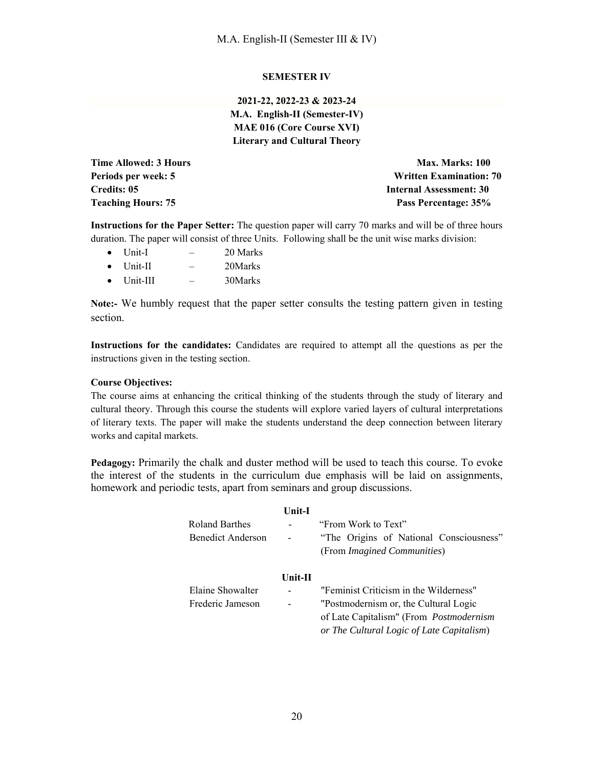## **SEMESTER IV**

**2021-22, 2022-23 & 2023-24 M.A. English-II (Semester-IV) MAE 016 (Core Course XVI) Literary and Cultural Theory** 

**Time Allowed: 3 Hours Max. Marks: 100 Max. Marks: 100 Periods per week: 5 Written Examination: 70 Credits: 05 Internal Assessment: 30 Teaching Hours: 75 Pass Percentage: 35%** 

**Instructions for the Paper Setter:** The question paper will carry 70 marks and will be of three hours duration. The paper will consist of three Units. Following shall be the unit wise marks division:

- $\bullet$  Unit-I  $-$  20 Marks • Unit-II – 20 Marks
- $\bullet$  Unit-III  $-$  30Marks
- 

**Note:-** We humbly request that the paper setter consults the testing pattern given in testing section.

**Instructions for the candidates:** Candidates are required to attempt all the questions as per the instructions given in the testing section.

#### **Course Objectives:**

The course aims at enhancing the critical thinking of the students through the study of literary and cultural theory. Through this course the students will explore varied layers of cultural interpretations of literary texts. The paper will make the students understand the deep connection between literary works and capital markets.

**Pedagogy:** Primarily the chalk and duster method will be used to teach this course. To evoke the interest of the students in the curriculum due emphasis will be laid on assignments, homework and periodic tests, apart from seminars and group discussions.

|                   | Unit-I                   |                                           |
|-------------------|--------------------------|-------------------------------------------|
| Roland Barthes    | -                        | "From Work to Text"                       |
| Benedict Anderson |                          | "The Origins of National Consciousness"   |
|                   |                          | (From <i>Imagined Communities</i> )       |
|                   | $Unit-II$                |                                           |
| Elaine Showalter  | $\overline{\phantom{a}}$ | "Feminist Criticism in the Wilderness"    |
| Frederic Jameson  | $\overline{a}$           | "Postmodernism or, the Cultural Logic     |
|                   |                          | of Late Capitalism" (From Postmodernism   |
|                   |                          | or The Cultural Logic of Late Capitalism) |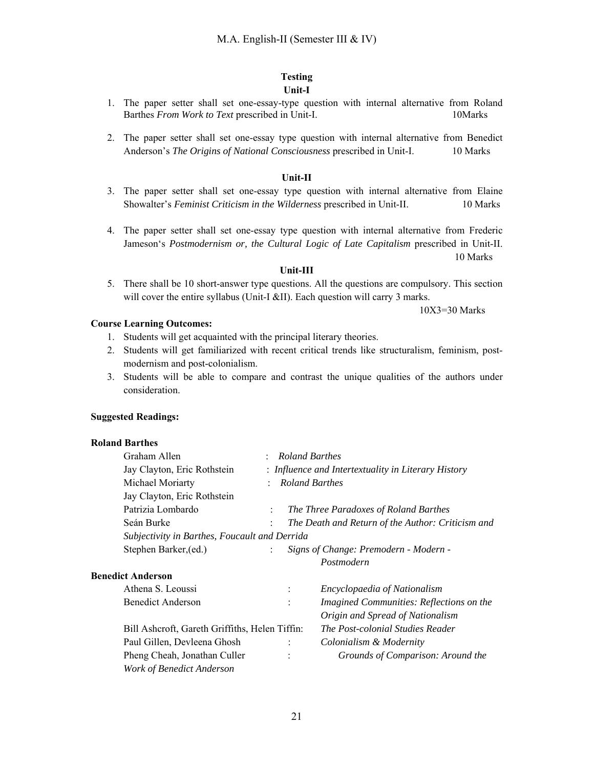#### **Testing Unit-I**

- 1. The paper setter shall set one-essay-type question with internal alternative from Roland Barthes *From Work to Text* prescribed in Unit-I. 10Marks
- 2. The paper setter shall set one-essay type question with internal alternative from Benedict Anderson's *The Origins of National Consciousness* prescribed in Unit-I. 10 Marks

#### **Unit-II**

- 3. The paper setter shall set one-essay type question with internal alternative from Elaine Showalter's *Feminist Criticism in the Wilderness* prescribed in Unit-II. 10 Marks
- 4. The paper setter shall set one-essay type question with internal alternative from Frederic Jameson's *Postmodernism or, the Cultural Logic of Late Capitalism* prescribed in Unit-II.

10 Marks

#### **Unit-III**

5. There shall be 10 short-answer type questions. All the questions are compulsory. This section will cover the entire syllabus (Unit-I &II). Each question will carry 3 marks.

10X3=30 Marks

#### **Course Learning Outcomes:**

- 1. Students will get acquainted with the principal literary theories.
- 2. Students will get familiarized with recent critical trends like structuralism, feminism, postmodernism and post-colonialism.
- 3. Students will be able to compare and contrast the unique qualities of the authors under consideration.

#### **Suggested Readings:**

#### **Roland Barthes**

| Graham Allen                                   | <b>Roland Barthes</b>                               |                |                                                   |
|------------------------------------------------|-----------------------------------------------------|----------------|---------------------------------------------------|
| Jay Clayton, Eric Rothstein                    | : Influence and Intertextuality in Literary History |                |                                                   |
| Michael Moriarty                               |                                                     |                | <b>Roland Barthes</b>                             |
| Jay Clayton, Eric Rothstein                    |                                                     |                |                                                   |
| Patrizia Lombardo                              | $\ddot{\phantom{0}}$                                |                | The Three Paradoxes of Roland Barthes             |
| Seán Burke                                     |                                                     |                | The Death and Return of the Author: Criticism and |
| Subjectivity in Barthes, Foucault and Derrida  |                                                     |                |                                                   |
| Stephen Barker, (ed.)                          | $\ddot{\phantom{a}}$                                |                | Signs of Change: Premodern - Modern -             |
|                                                |                                                     |                | Postmodern                                        |
| <b>Benedict Anderson</b>                       |                                                     |                |                                                   |
| Athena S. Leoussi                              |                                                     | $\ddot{\cdot}$ | <i>Encyclopaedia of Nationalism</i>               |
| Benedict Anderson                              |                                                     | $\ddot{\cdot}$ | Imagined Communities: Reflections on the          |
|                                                |                                                     |                | Origin and Spread of Nationalism                  |
| Bill Ashcroft, Gareth Griffiths, Helen Tiffin: |                                                     |                | <i>The Post-colonial Studies Reader</i>           |
| Paul Gillen, Devleena Ghosh                    |                                                     | $\ddot{\cdot}$ | Colonialism & Modernity                           |
| Pheng Cheah, Jonathan Culler                   |                                                     | ٠              | Grounds of Comparison: Around the                 |
| Work of Benedict Anderson                      |                                                     |                |                                                   |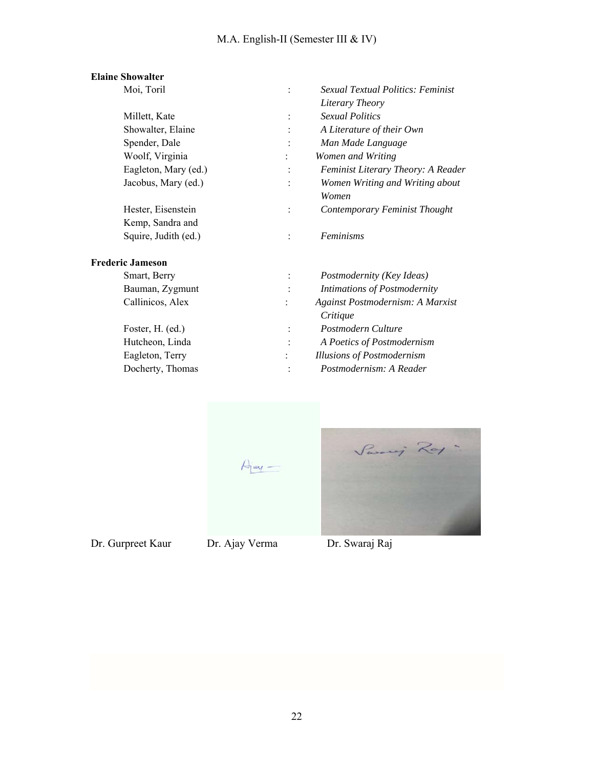# M.A. English-II (Semester III & IV)

## **Elaine Showalter**

| Moi, Toril              |                | <b>Sexual Textual Politics: Feminist</b> |
|-------------------------|----------------|------------------------------------------|
|                         |                | Literary Theory                          |
| Millett, Kate           | $\ddot{\cdot}$ | <b>Sexual Politics</b>                   |
| Showalter, Elaine       | $\ddot{\cdot}$ | A Literature of their Own                |
| Spender, Dale           |                | Man Made Language                        |
| Woolf, Virginia         |                | Women and Writing                        |
| Eagleton, Mary (ed.)    | $\ddot{\cdot}$ | Feminist Literary Theory: A Reader       |
| Jacobus, Mary (ed.)     | $\ddot{\cdot}$ | Women Writing and Writing about          |
|                         |                | Women                                    |
| Hester, Eisenstein      | $\ddot{\cdot}$ | Contemporary Feminist Thought            |
| Kemp, Sandra and        |                |                                          |
| Squire, Judith (ed.)    | $\ddot{\cdot}$ | <b>Feminisms</b>                         |
| <b>Frederic Jameson</b> |                |                                          |
| Smart, Berry            | $\ddot{\cdot}$ | Postmodernity (Key Ideas)                |
| Bauman, Zygmunt         | $\ddot{\cdot}$ | Intimations of Postmodernity             |
| Callinicos, Alex        |                | Against Postmodernism: A Marxist         |
|                         |                | Critique                                 |
| Foster, H. (ed.)        | $\ddot{\cdot}$ | Postmodern Culture                       |
| Hutcheon, Linda         | $\ddot{\cdot}$ | A Poetics of Postmodernism               |
| Eagleton, Terry         |                | <b>Illusions of Postmodernism</b>        |
| $T = 1$ $T = 1$         |                |                                          |

Docherty, Thomas : *Postmodernism: A Reader* 



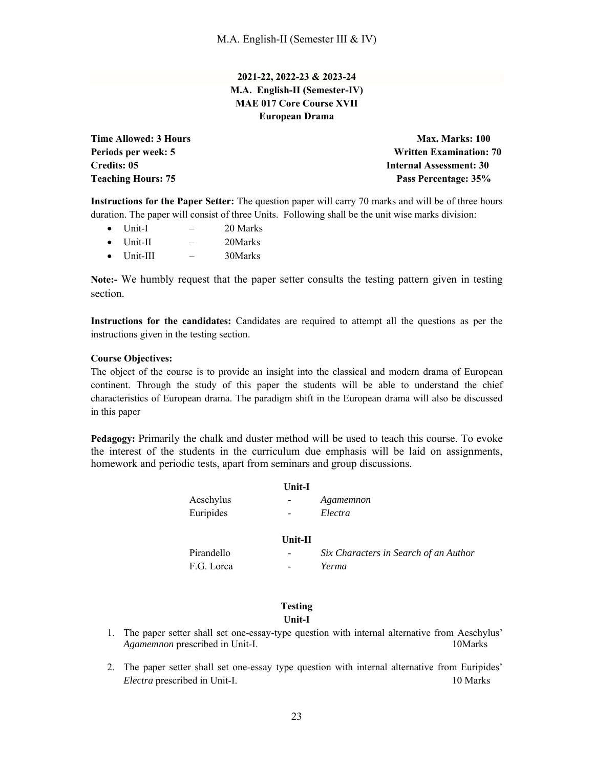## **2021-22, 2022-23 & 2023-24 M.A. English-II (Semester-IV) MAE 017 Core Course XVII European Drama**

**Time Allowed: 3 Hours Max. Marks: 100 and Max. Marks: 100 and Max. Marks: 100 and Max. Marks: 100 and Max. Marks: 100 and Max. Marks: 100 and Max. Marks: 100 and Max. Marks: 100 and Max. Marks: 100 and Max. Marks: 100 and Periods per week: 5 Written Examination: 70 Credits: 05** Internal Assessment: 30 **Teaching Hours: 75 Pass Percentage: 35%** 

**Instructions for the Paper Setter:** The question paper will carry 70 marks and will be of three hours duration. The paper will consist of three Units. Following shall be the unit wise marks division:

- $\bullet$  Unit-I 20 Marks
- $\bullet$  Unit-II  $-$  20Marks
- Unit-III 30Marks

**Note:-** We humbly request that the paper setter consults the testing pattern given in testing section.

**Instructions for the candidates:** Candidates are required to attempt all the questions as per the instructions given in the testing section.

#### **Course Objectives:**

The object of the course is to provide an insight into the classical and modern drama of European continent. Through the study of this paper the students will be able to understand the chief characteristics of European drama. The paradigm shift in the European drama will also be discussed in this paper

**Pedagogy:** Primarily the chalk and duster method will be used to teach this course. To evoke the interest of the students in the curriculum due emphasis will be laid on assignments, homework and periodic tests, apart from seminars and group discussions.

|                        | Unit-I                                               |                                       |
|------------------------|------------------------------------------------------|---------------------------------------|
| Aeschylus<br>Euripides | $\overline{\phantom{a}}$<br>$\overline{\phantom{a}}$ | Agamemnon<br>Electra                  |
|                        | $Unit-II$                                            |                                       |
| Pirandello             | $\overline{\phantom{a}}$                             | Six Characters in Search of an Author |
| F.G. Lorca             | $\qquad \qquad \blacksquare$                         | Yerma                                 |

#### **Testing Unit-I**

- 1. The paper setter shall set one-essay-type question with internal alternative from Aeschylus' *Agamemnon* prescribed in Unit-I. 10Marks
- 2. The paper setter shall set one-essay type question with internal alternative from Euripides' *Electra* prescribed in Unit-I. 10 Marks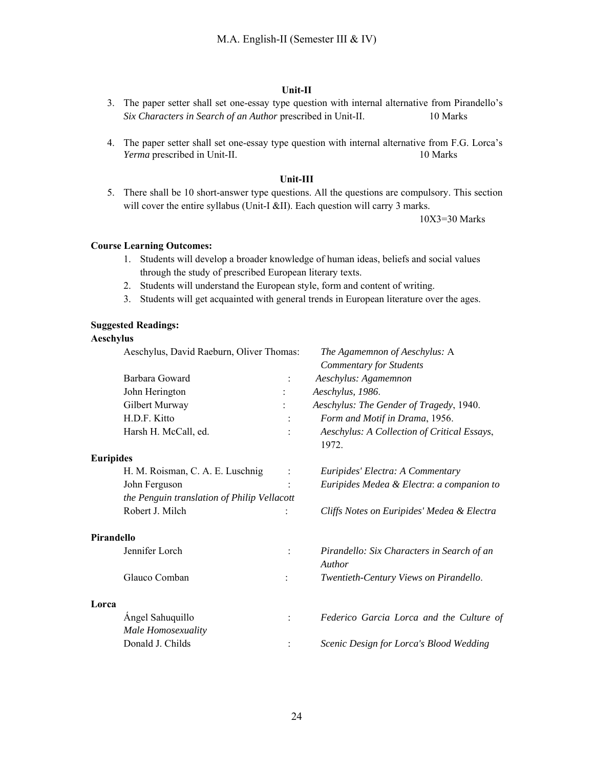#### **Unit-II**

- 3. The paper setter shall set one-essay type question with internal alternative from Pirandello's *Six Characters in Search of an Author* prescribed in Unit-II. 10 Marks
- 4. The paper setter shall set one-essay type question with internal alternative from F.G. Lorca's *Yerma* prescribed in Unit-II. 10 Marks

#### **Unit-III**

5. There shall be 10 short-answer type questions. All the questions are compulsory. This section will cover the entire syllabus (Unit-I &II). Each question will carry 3 marks.

10X3=30 Marks

## **Course Learning Outcomes:**

- 1. Students will develop a broader knowledge of human ideas, beliefs and social values through the study of prescribed European literary texts.
- 2. Students will understand the European style, form and content of writing.
- 3. Students will get acquainted with general trends in European literature over the ages.

## **Suggested Readings:**

#### **Aeschylus**

|                  | Aeschylus, David Raeburn, Oliver Thomas:    |                | The Agamemnon of Aeschylus: A<br><b>Commentary for Students</b> |  |
|------------------|---------------------------------------------|----------------|-----------------------------------------------------------------|--|
|                  | Barbara Goward                              |                | Aeschylus: Agamemnon                                            |  |
|                  | John Herington                              |                | Aeschylus, 1986.                                                |  |
|                  | Gilbert Murway                              |                | Aeschylus: The Gender of Tragedy, 1940.                         |  |
|                  | H.D.F. Kitto                                |                | Form and Motif in Drama, 1956.                                  |  |
|                  | Harsh H. McCall, ed.                        |                | Aeschylus: A Collection of Critical Essays,<br>1972.            |  |
| <b>Euripides</b> |                                             |                |                                                                 |  |
|                  | H. M. Roisman, C. A. E. Luschnig            | $\ddot{\cdot}$ | Euripides' Electra: A Commentary                                |  |
|                  | John Ferguson                               |                | Euripides Medea & Electra: a companion to                       |  |
|                  | the Penguin translation of Philip Vellacott |                |                                                                 |  |
|                  | Robert J. Milch                             |                | Cliffs Notes on Euripides' Medea & Electra                      |  |
| Pirandello       |                                             |                |                                                                 |  |
|                  | Jennifer Lorch                              |                | Pirandello: Six Characters in Search of an<br>Author            |  |
|                  | Glauco Comban                               |                | Twentieth-Century Views on Pirandello.                          |  |
| Lorca            |                                             |                |                                                                 |  |
|                  | Angel Sahuquillo                            |                | Federico Garcia Lorca and the Culture of                        |  |
|                  | Male Homosexuality                          |                |                                                                 |  |
|                  | Donald J. Childs                            |                | Scenic Design for Lorca's Blood Wedding                         |  |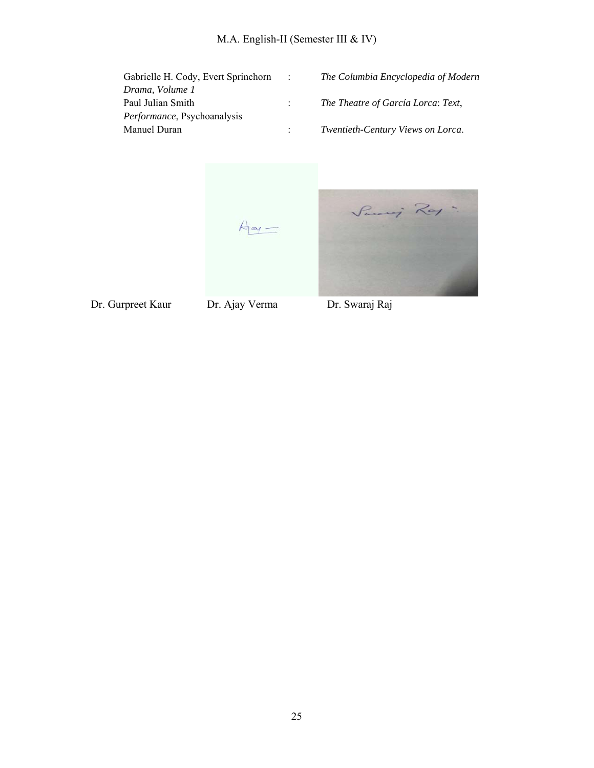| Gabrielle H. Cody, Evert Sprinchorn | The Columbia Encyclopedia of Modern |
|-------------------------------------|-------------------------------------|
| Drama, Volume 1                     |                                     |
| Paul Julian Smith                   | The Theatre of García Lorca: Text,  |
| Performance, Psychoanalysis         |                                     |
| Manuel Duran                        | Twentieth-Century Views on Lorca.   |

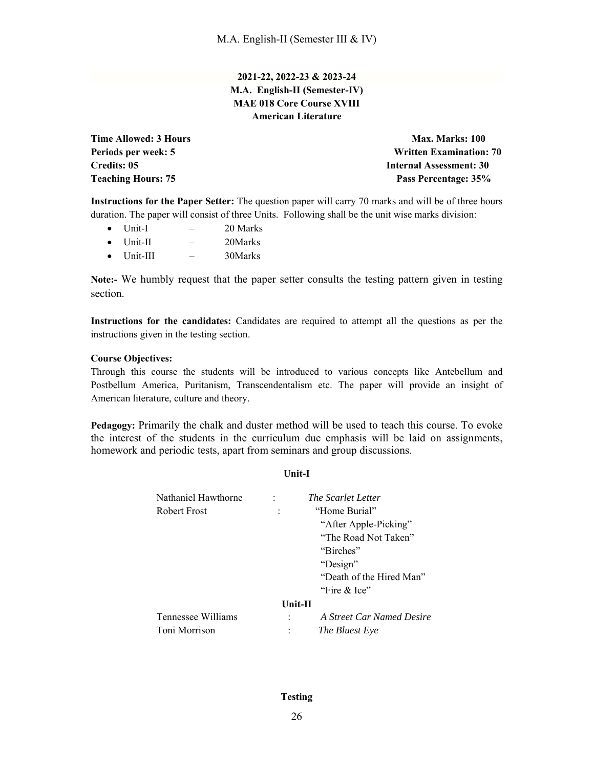## **2021-22, 2022-23 & 2023-24 M.A. English-II (Semester-IV) MAE 018 Core Course XVIII American Literature**

**Time Allowed: 3 Hours Max. Marks: 100 Max. Marks: 100 Periods per week: 5 Written Examination: 70 Credits: 05 Internal Assessment: 30 Teaching Hours: 75 Pass Percentage: 35%** 

**Instructions for the Paper Setter:** The question paper will carry 70 marks and will be of three hours duration. The paper will consist of three Units. Following shall be the unit wise marks division:

- $\bullet$  Unit-I  $-$  20 Marks
- Unit-II 20Marks
- Unit-III 30Marks

**Note:-** We humbly request that the paper setter consults the testing pattern given in testing section.

**Instructions for the candidates:** Candidates are required to attempt all the questions as per the instructions given in the testing section.

#### **Course Objectives:**

Through this course the students will be introduced to various concepts like Antebellum and Postbellum America, Puritanism, Transcendentalism etc. The paper will provide an insight of American literature, culture and theory.

**Pedagogy:** Primarily the chalk and duster method will be used to teach this course. To evoke the interest of the students in the curriculum due emphasis will be laid on assignments, homework and periodic tests, apart from seminars and group discussions.

**Unit-I**

| Nathaniel Hawthorne |           | <i>The Scarlet Letter</i> |
|---------------------|-----------|---------------------------|
| Robert Frost        |           | "Home Burial"             |
|                     |           |                           |
|                     |           | "After Apple-Picking"     |
|                     |           | "The Road Not Taken"      |
|                     |           | "Birches"                 |
|                     |           | "Design"                  |
|                     |           | "Death of the Hired Man"  |
|                     |           | "Fire $&$ Ice"            |
|                     | $Unit-II$ |                           |
| Tennessee Williams  |           | A Street Car Named Desire |
| Toni Morrison       |           | The Bluest Eye            |

## **Testing**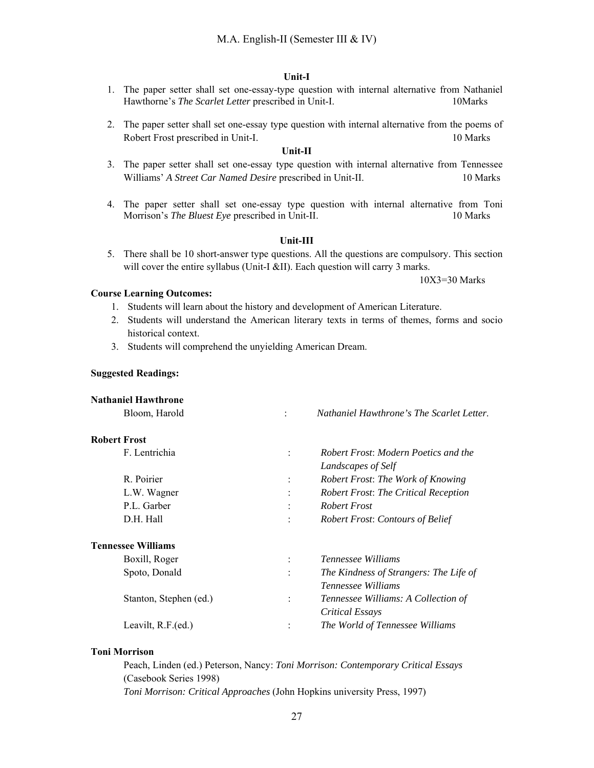#### **Unit-I**

- 1. The paper setter shall set one-essay-type question with internal alternative from Nathaniel Hawthorne's *The Scarlet Letter* prescribed in Unit-I. 10Marks
- 2. The paper setter shall set one-essay type question with internal alternative from the poems of Robert Frost prescribed in Unit-I. 10 Marks

#### **Unit-II**

- 3. The paper setter shall set one-essay type question with internal alternative from Tennessee Williams' *A Street Car Named Desire* prescribed in Unit-II. 10 Marks
- 4. The paper setter shall set one-essay type question with internal alternative from Toni Morrison's *The Bluest Eye* prescribed in Unit-II. 10 Marks

#### **Unit-III**

5. There shall be 10 short-answer type questions. All the questions are compulsory. This section will cover the entire syllabus (Unit-I &II). Each question will carry 3 marks.

10X3=30 Marks

#### **Course Learning Outcomes:**

- 1. Students will learn about the history and development of American Literature.
- 2. Students will understand the American literary texts in terms of themes, forms and socio historical context.
- 3. Students will comprehend the unyielding American Dream.

#### **Suggested Readings:**

| <b>Nathaniel Hawthrone</b> |                |                                             |
|----------------------------|----------------|---------------------------------------------|
| Bloom, Harold              | $\ddot{\cdot}$ | Nathaniel Hawthrone's The Scarlet Letter.   |
| <b>Robert Frost</b>        |                |                                             |
| F. Lentrichia              | $\ddot{\cdot}$ | Robert Frost: Modern Poetics and the        |
|                            |                | Landscapes of Self                          |
| R. Poirier                 | $\ddot{\cdot}$ | Robert Frost: The Work of Knowing           |
| L.W. Wagner                | $\ddot{\cdot}$ | <b>Robert Frost: The Critical Reception</b> |
| P.L. Garber                | $\bullet$      | <b>Robert Frost</b>                         |
| D.H. Hall                  | $\bullet$      | <b>Robert Frost: Contours of Belief</b>     |
| <b>Tennessee Williams</b>  |                |                                             |
| Boxill, Roger              | $\ddot{\cdot}$ | <i>Tennessee Williams</i>                   |
| Spoto, Donald              | $\ddot{\cdot}$ | The Kindness of Strangers: The Life of      |
|                            |                | <i>Tennessee Williams</i>                   |
| Stanton, Stephen (ed.)     | $\ddot{\cdot}$ | Tennessee Williams: A Collection of         |
|                            |                | Critical Essays                             |
| Leavilt, R.F.(ed.)         | :              | The World of Tennessee Williams             |
|                            |                |                                             |

#### **Toni Morrison**

Peach, Linden (ed.) Peterson, Nancy: *Toni Morrison: Contemporary Critical Essays* (Casebook Series 1998)

*Toni Morrison: Critical Approaches* (John Hopkins university Press, 1997)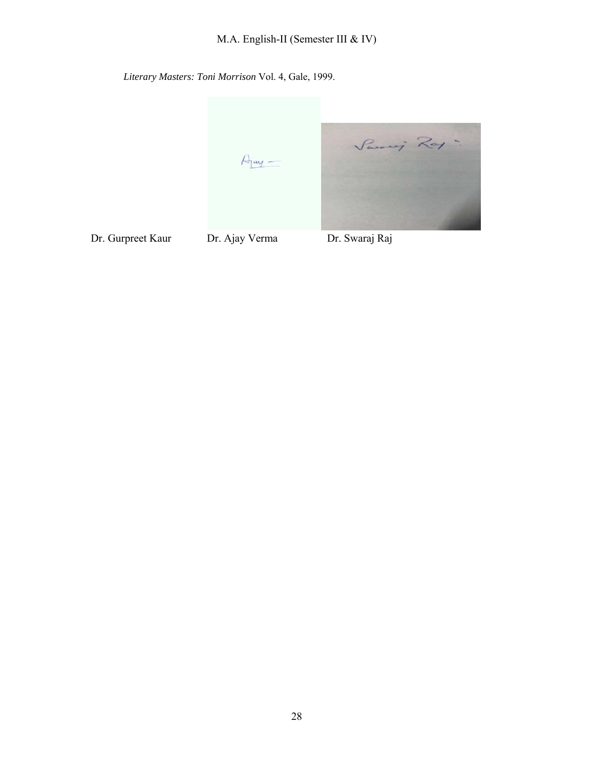*Literary Masters: Toni Morrison* Vol. 4, Gale, 1999.

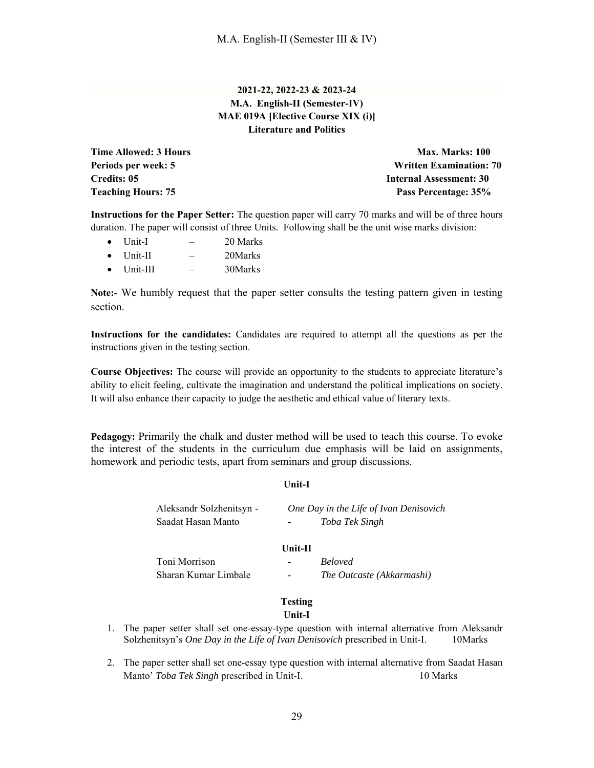## **2021-22, 2022-23 & 2023-24 M.A. English-II (Semester-IV) MAE 019A [Elective Course XIX (i)] Literature and Politics**

**Time Allowed: 3 Hours Max. Marks: 100 Max. Marks: 100 Periods per week: 5 Written Examination: 70 Credits: 05 Internal Assessment: 30 Teaching Hours: 75 Pass Percentage: 35%** 

**Instructions for the Paper Setter:** The question paper will carry 70 marks and will be of three hours duration. The paper will consist of three Units. Following shall be the unit wise marks division:

- Unit-I 20 Marks Unit-II – 20Marks
- $\bullet$  Unit-III  $-$  30Marks

**Note:-** We humbly request that the paper setter consults the testing pattern given in testing section.

**Instructions for the candidates:** Candidates are required to attempt all the questions as per the instructions given in the testing section.

**Course Objectives:** The course will provide an opportunity to the students to appreciate literature's ability to elicit feeling, cultivate the imagination and understand the political implications on society. It will also enhance their capacity to judge the aesthetic and ethical value of literary texts.

**Pedagogy:** Primarily the chalk and duster method will be used to teach this course. To evoke the interest of the students in the curriculum due emphasis will be laid on assignments, homework and periodic tests, apart from seminars and group discussions.

## **Unit-I**

| Aleksandr Solzhenitsyn -<br>Saadat Hasan Manto |                | One Day in the Life of Ivan Denisovich<br>Toba Tek Singh |
|------------------------------------------------|----------------|----------------------------------------------------------|
|                                                | $Unit-II$      |                                                          |
| Toni Morrison                                  |                | <b>Beloved</b>                                           |
| Sharan Kumar Limbale                           | -              | The Outcaste (Akkarmashi)                                |
|                                                | <b>Testing</b> |                                                          |

#### **Unit-I**

- 1. The paper setter shall set one-essay-type question with internal alternative from Aleksandr Solzhenitsyn's *One Day in the Life of Ivan Denisovich* prescribed in Unit-I. 10Marks
- 2. The paper setter shall set one-essay type question with internal alternative from Saadat Hasan Manto' *Toba Tek Singh* prescribed in Unit-I. 10 Marks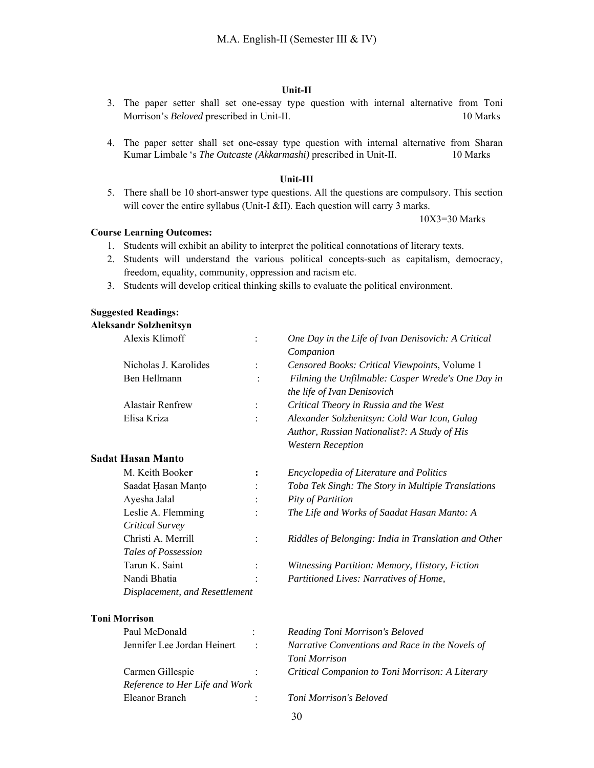#### **Unit-II**

- 3. The paper setter shall set one-essay type question with internal alternative from Toni Morrison's *Beloved* prescribed in Unit-II. 10 Marks
- 4. The paper setter shall set one-essay type question with internal alternative from Sharan Kumar Limbale 's *The Outcaste (Akkarmashi)* prescribed in Unit-II. 10 Marks

#### **Unit-III**

5. There shall be 10 short-answer type questions. All the questions are compulsory. This section will cover the entire syllabus (Unit-I &II). Each question will carry 3 marks.

10X3=30 Marks

#### **Course Learning Outcomes:**

- 1. Students will exhibit an ability to interpret the political connotations of literary texts.
- 2. Students will understand the various political concepts-such as capitalism, democracy, freedom, equality, community, oppression and racism etc.
- 3. Students will develop critical thinking skills to evaluate the political environment.

#### **Suggested Readings:**

#### **Aleksandr Solzhenitsyn**

| <i><b>Thursday Sollicates</b></i><br>Alexis Klimoff |                |                                                      |
|-----------------------------------------------------|----------------|------------------------------------------------------|
|                                                     |                | One Day in the Life of Ivan Denisovich: A Critical   |
|                                                     |                | Companion                                            |
| Nicholas J. Karolides                               | $\ddot{\cdot}$ | Censored Books: Critical Viewpoints, Volume 1        |
| Ben Hellmann                                        | $\ddot{\cdot}$ | Filming the Unfilmable: Casper Wrede's One Day in    |
|                                                     |                | the life of Ivan Denisovich                          |
| <b>Alastair Renfrew</b>                             | $\ddot{\cdot}$ | Critical Theory in Russia and the West               |
| Elisa Kriza                                         | $\ddot{\cdot}$ | Alexander Solzhenitsyn: Cold War Icon, Gulag         |
|                                                     |                | Author, Russian Nationalist?: A Study of His         |
|                                                     |                | <b>Western Reception</b>                             |
| <b>Sadat Hasan Manto</b>                            |                |                                                      |
| M. Keith Booker                                     | $\ddot{\cdot}$ | Encyclopedia of Literature and Politics              |
| Saadat Hasan Manto                                  |                | Toba Tek Singh: The Story in Multiple Translations   |
| Ayesha Jalal                                        |                | Pity of Partition                                    |
| Leslie A. Flemming                                  |                | The Life and Works of Saadat Hasan Manto: A          |
| Critical Survey                                     |                |                                                      |
| Christi A. Merrill                                  | $\ddot{\cdot}$ | Riddles of Belonging: India in Translation and Other |
| Tales of Possession                                 |                |                                                      |
| Tarun K. Saint                                      | $\ddot{\cdot}$ | Witnessing Partition: Memory, History, Fiction       |
| Nandi Bhatia                                        |                | Partitioned Lives: Narratives of Home,               |
| Displacement, and Resettlement                      |                |                                                      |
|                                                     |                |                                                      |

## **Toni Morrison**

| Paul McDonald                  |  |
|--------------------------------|--|
| Jennifer Lee Jordan Heinert    |  |
|                                |  |
| Carmen Gillespie               |  |
| Reference to Her Life and Work |  |
| Eleanor Branch                 |  |

 $Reading Toni Morrison's Beloved$ Narrative Conventions and Race in the Novels of *Toni Morrison*  Critical Companion to Toni Morrison: A Literary

**Toni Morrison's Beloved**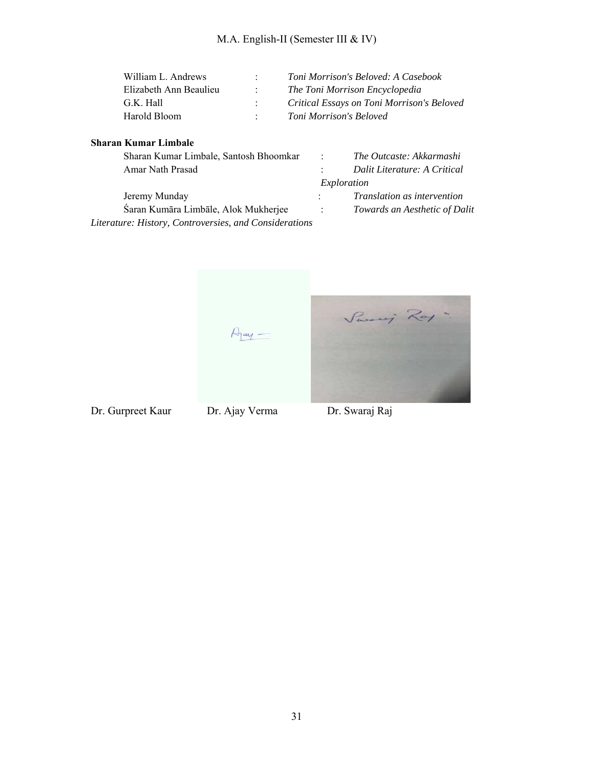| William L. Andrews     | Toni Morrison's Beloved: A Casebook        |
|------------------------|--------------------------------------------|
| Elizabeth Ann Beaulieu | The Toni Morrison Encyclopedia             |
| G.K. Hall              | Critical Essays on Toni Morrison's Beloved |
| Harold Bloom           | Toni Morrison's Beloved                    |

## **Sharan Kumar Limbale**

| Sharan Kumar Limbale, Santosh Bhoomkar                 | $\sim$ 100 $\sim$ | The Outcaste: Akkarmashi      |
|--------------------------------------------------------|-------------------|-------------------------------|
| Amar Nath Prasad                                       |                   | Dalit Literature: A Critical  |
|                                                        |                   | Exploration                   |
| Jeremy Munday                                          | $\mathcal{L}$     | Translation as intervention   |
| Śaran Kumāra Limbāle, Alok Mukherjee                   | $\sim$ 100 $\sim$ | Towards an Aesthetic of Dalit |
| Literature: History, Controversies, and Considerations |                   |                               |

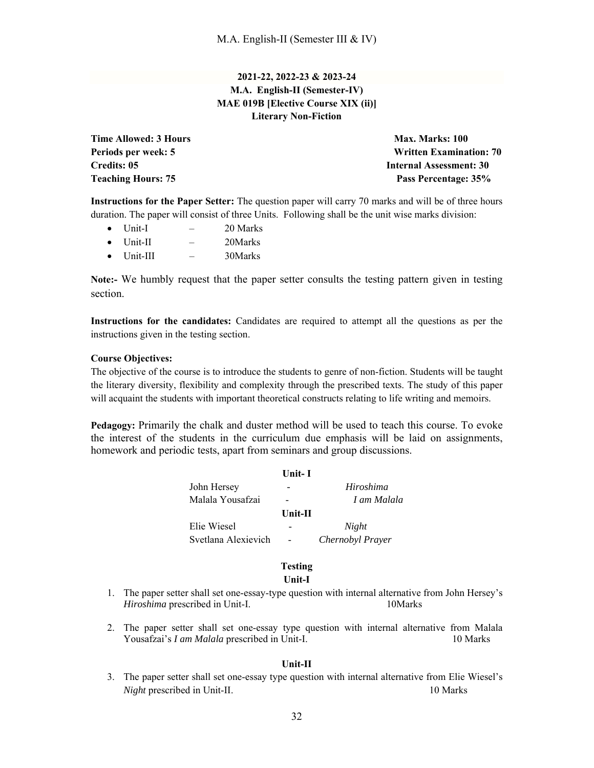## **2021-22, 2022-23 & 2023-24 M.A. English-II (Semester-IV) MAE 019B [Elective Course XIX (ii)] Literary Non-Fiction**

**Time Allowed: 3 Hours Max. Marks: 100 Max. Marks: 100** 

**Periods per week: 5 Written Examination: 70 Credits: 05** Internal Assessment: 30 **Teaching Hours: 75 Pass Percentage: 35%** 

**Instructions for the Paper Setter:** The question paper will carry 70 marks and will be of three hours duration. The paper will consist of three Units. Following shall be the unit wise marks division:

- $\bullet$  Unit-I 20 Marks
- $\bullet$  Unit-II  $-$  20Marks
- Unit-III 30Marks

**Note:-** We humbly request that the paper setter consults the testing pattern given in testing section.

**Instructions for the candidates:** Candidates are required to attempt all the questions as per the instructions given in the testing section.

#### **Course Objectives:**

The objective of the course is to introduce the students to genre of non-fiction. Students will be taught the literary diversity, flexibility and complexity through the prescribed texts. The study of this paper will acquaint the students with important theoretical constructs relating to life writing and memoirs.

**Pedagogy:** Primarily the chalk and duster method will be used to teach this course. To evoke the interest of the students in the curriculum due emphasis will be laid on assignments, homework and periodic tests, apart from seminars and group discussions.

|                     | Unit- I                  |                  |
|---------------------|--------------------------|------------------|
| John Hersey         | -                        | Hiroshima        |
| Malala Yousafzai    | -                        | I am Malala      |
|                     | $Unit-II$                |                  |
| Elie Wiesel         | -                        | Night            |
| Svetlana Alexievich | $\overline{\phantom{a}}$ | Chernobyl Prayer |
|                     |                          |                  |

#### **Testing**

## **Unit-I**

- 1. The paper setter shall set one-essay-type question with internal alternative from John Hersey's *Hiroshima* prescribed in Unit-I. 10Marks
- 2. The paper setter shall set one-essay type question with internal alternative from Malala Yousafzai's *I am Malala* prescribed in Unit-I. 10 Marks

#### **Unit-II**

3. The paper setter shall set one-essay type question with internal alternative from Elie Wiesel's *Night* prescribed in Unit-II. 10 Marks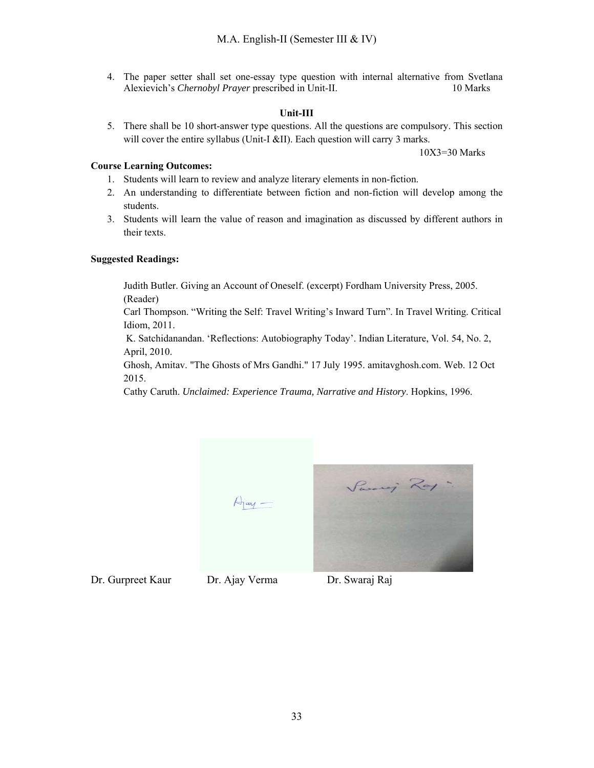4. The paper setter shall set one-essay type question with internal alternative from Svetlana Alexievich's *Chernobyl Prayer* prescribed in Unit-II. 10 Marks

## **Unit-III**

5. There shall be 10 short-answer type questions. All the questions are compulsory. This section will cover the entire syllabus (Unit-I &II). Each question will carry 3 marks.

10X3=30 Marks

## **Course Learning Outcomes:**

- 1. Students will learn to review and analyze literary elements in non-fiction.
- 2. An understanding to differentiate between fiction and non-fiction will develop among the students.
- 3. Students will learn the value of reason and imagination as discussed by different authors in their texts.

## **Suggested Readings:**

Judith Butler. Giving an Account of Oneself. (excerpt) Fordham University Press, 2005. (Reader)

Carl Thompson. "Writing the Self: Travel Writing's Inward Turn". In Travel Writing. Critical Idiom, 2011.

 K. Satchidanandan. 'Reflections: Autobiography Today'. Indian Literature, Vol. 54, No. 2, April, 2010.

Ghosh, Amitav. "The Ghosts of Mrs Gandhi." 17 July 1995. amitavghosh.com. Web. 12 Oct 2015.

Cathy Caruth. *Unclaimed: Experience Trauma, Narrative and History*. Hopkins, 1996.



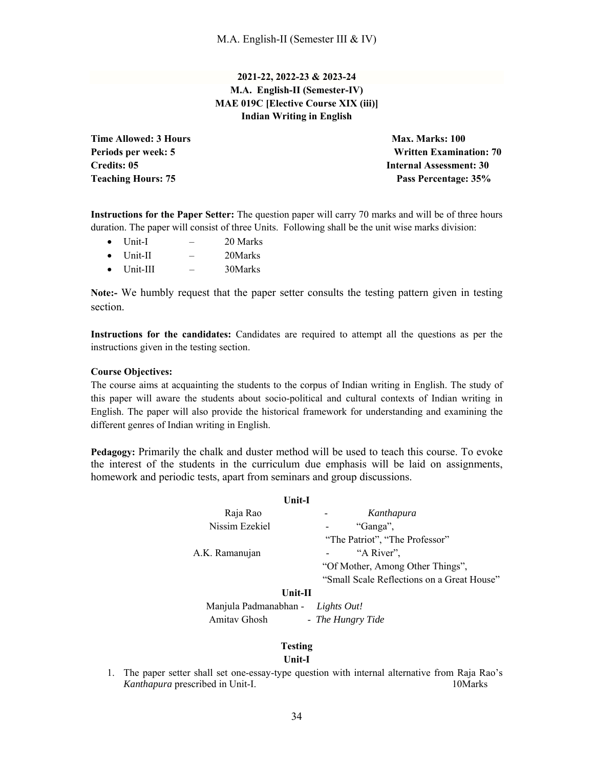## **2021-22, 2022-23 & 2023-24 M.A. English-II (Semester-IV) MAE 019C [Elective Course XIX (iii)] Indian Writing in English**

**Time Allowed: 3 Hours Max. Marks: 100 Max. Marks: 100** 

**Periods per week: 5 Written Examination: 70 Credits: 05** Internal Assessment: 30 **Teaching Hours: 75 Pass Percentage: 35%** 

**Instructions for the Paper Setter:** The question paper will carry 70 marks and will be of three hours duration. The paper will consist of three Units. Following shall be the unit wise marks division:

- Unit-I 20 Marks
- Unit-II 20Marks
- $\bullet$  Unit-III  $-$  30Marks

**Note:-** We humbly request that the paper setter consults the testing pattern given in testing section.

**Instructions for the candidates:** Candidates are required to attempt all the questions as per the instructions given in the testing section.

## **Course Objectives:**

The course aims at acquainting the students to the corpus of Indian writing in English. The study of this paper will aware the students about socio-political and cultural contexts of Indian writing in English. The paper will also provide the historical framework for understanding and examining the different genres of Indian writing in English.

**Pedagogy:** Primarily the chalk and duster method will be used to teach this course. To evoke the interest of the students in the curriculum due emphasis will be laid on assignments, homework and periodic tests, apart from seminars and group discussions.

| Unit-I         |                                            |
|----------------|--------------------------------------------|
| Raja Rao       | Kanthapura                                 |
| Nissim Ezekiel | "Ganga",                                   |
|                | "The Patriot", "The Professor"             |
| A.K. Ramanujan | "A River",                                 |
|                | "Of Mother, Among Other Things",           |
|                | "Small Scale Reflections on a Great House" |
| 11L 11         |                                            |

#### **Unit-II**

 Manjula Padmanabhan - *Lights Out!* Amitav Ghosh - *The Hungry Tide*

## **Testing**

## **Unit-I**

1. The paper setter shall set one-essay-type question with internal alternative from Raja Rao's *Kanthapura* prescribed in Unit-I. 10Marks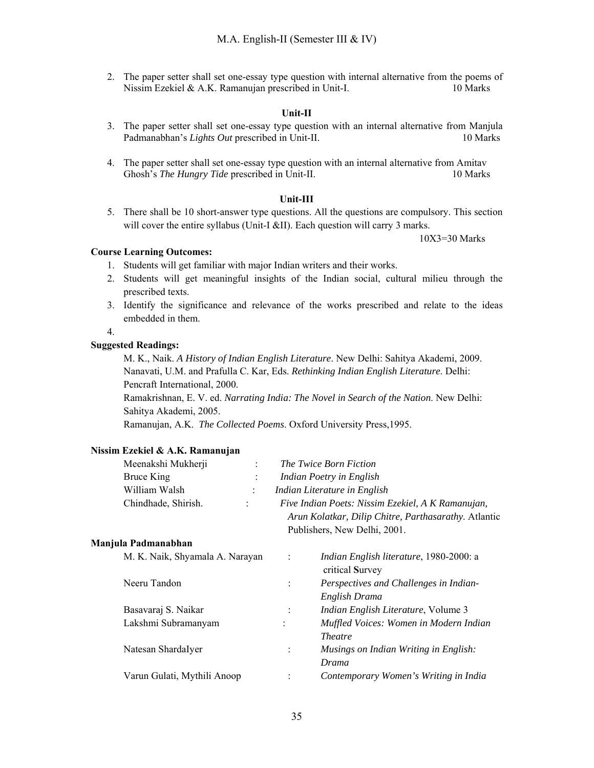2. The paper setter shall set one-essay type question with internal alternative from the poems of Nissim Ezekiel & A.K. Ramanujan prescribed in Unit-I. 10 Marks

#### **Unit-II**

- 3. The paper setter shall set one-essay type question with an internal alternative from Manjula Padmanabhan's *Lights Out* prescribed in Unit-II. 10 Marks
- 4. The paper setter shall set one-essay type question with an internal alternative from Amitav Ghosh's *The Hungry Tide* prescribed in Unit-II. 10 Marks

#### **Unit-III**

5. There shall be 10 short-answer type questions. All the questions are compulsory. This section will cover the entire syllabus (Unit-I &II). Each question will carry 3 marks.

10X3=30 Marks

#### **Course Learning Outcomes:**

- 1. Students will get familiar with major Indian writers and their works.
- 2. Students will get meaningful insights of the Indian social, cultural milieu through the prescribed texts.
- 3. Identify the significance and relevance of the works prescribed and relate to the ideas embedded in them.

#### 4.

#### **Suggested Readings:**

M. K., Naik. *A History of Indian English Literature*. New Delhi: Sahitya Akademi, 2009. Nanavati, U.M. and Prafulla C. Kar, Eds. *Rethinking Indian English Literature*. Delhi: Pencraft International, 2000.

Ramakrishnan, E. V. ed. *Narrating India: The Novel in Search of the Nation*. New Delhi: Sahitya Akademi, 2005.

Ramanujan, A.K. *The Collected Poems*. Oxford University Press,1995.

#### **Nissim Ezekiel & A.K. Ramanujan**

| Meenakshi Mukherji  |               | The Twice Born Fiction                               |
|---------------------|---------------|------------------------------------------------------|
| Bruce King          |               | Indian Poetry in English                             |
| William Walsh       |               | Indian Literature in English                         |
| Chindhade, Shirish. | $\mathcal{L}$ | Five Indian Poets: Nissim Ezekiel, A K Ramanujan,    |
|                     |               | Arun Kolatkar, Dilip Chitre, Parthasarathy. Atlantic |

Publishers, New Delhi, 2001.

#### **Manjula Padmanabhan**

| M. K. Naik, Shyamala A. Narayan | $\ddot{\cdot}$ | Indian English literature, 1980-2000: a<br>critical Survey |
|---------------------------------|----------------|------------------------------------------------------------|
| Neeru Tandon                    |                | Perspectives and Challenges in Indian-                     |
|                                 |                | English Drama                                              |
| Basavaraj S. Naikar             |                | Indian English Literature, Volume 3                        |
| Lakshmi Subramanyam             |                | Muffled Voices: Women in Modern Indian                     |
|                                 |                | <i>Theatre</i>                                             |
| Natesan ShardaIyer              |                | Musings on Indian Writing in English:                      |
|                                 |                | Drama                                                      |
| Varun Gulati, Mythili Anoop     |                | Contemporary Women's Writing in India                      |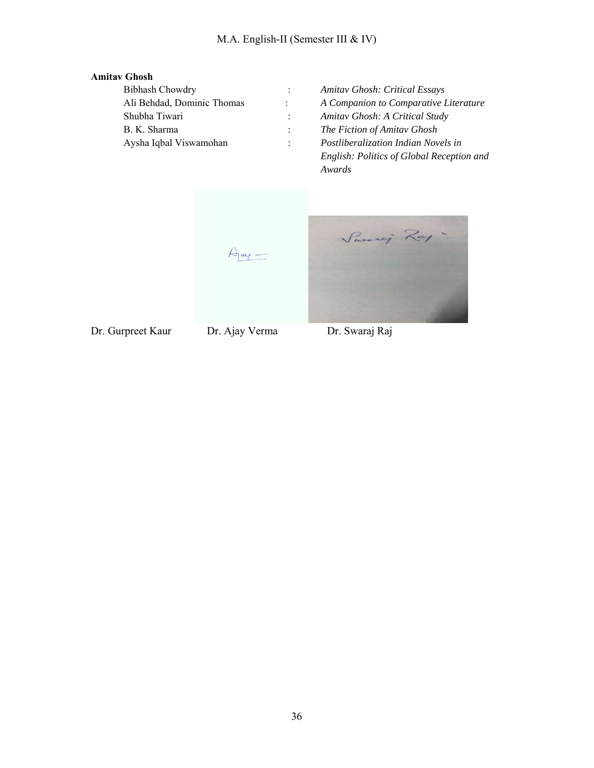## **Amitav Ghosh**

| <b>Bibhash Chowdry</b>     | Amitav Ghosh: Critical Essays             |
|----------------------------|-------------------------------------------|
| Ali Behdad, Dominic Thomas | A Companion to Comparative Literature     |
| Shubha Tiwari              | Amitav Ghosh: A Critical Study            |
| B. K. Sharma               | The Fiction of Amitav Ghosh               |
| Aysha Iqbal Viswamohan     | Postliberalization Indian Novels in       |
|                            | English: Politics of Global Reception and |

*Awards* 

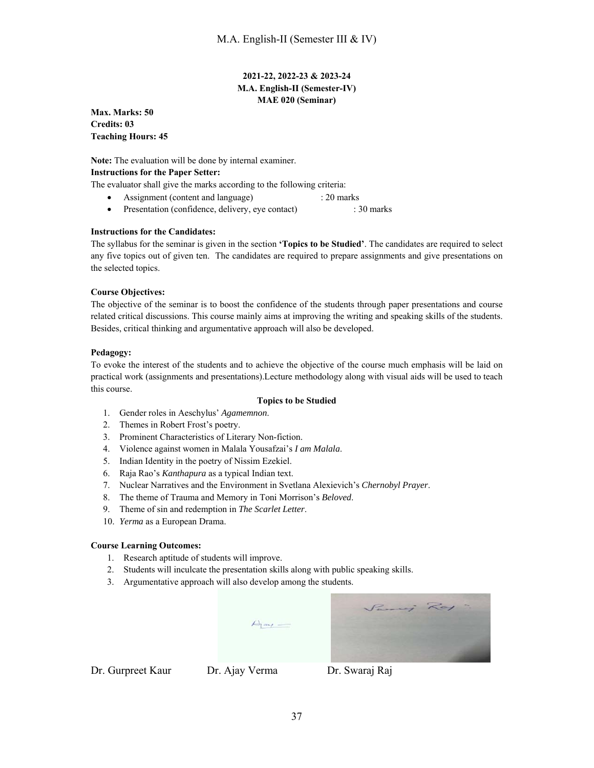## **2021-22, 2022-23 & 2023-24 M.A. English-II (Semester-IV) MAE 020 (Seminar)**

**Max. Marks: 50 Credits: 03 Teaching Hours: 45** 

**Note:** The evaluation will be done by internal examiner. **Instructions for the Paper Setter:** 

The evaluator shall give the marks according to the following criteria:

- Assignment (content and language) : 20 marks
- Presentation (confidence, delivery, eye contact) : 30 marks

#### **Instructions for the Candidates:**

The syllabus for the seminar is given in the section **'Topics to be Studied'**. The candidates are required to select any five topics out of given ten. The candidates are required to prepare assignments and give presentations on the selected topics.

#### **Course Objectives:**

The objective of the seminar is to boost the confidence of the students through paper presentations and course related critical discussions. This course mainly aims at improving the writing and speaking skills of the students. Besides, critical thinking and argumentative approach will also be developed.

#### **Pedagogy:**

To evoke the interest of the students and to achieve the objective of the course much emphasis will be laid on practical work (assignments and presentations).Lecture methodology along with visual aids will be used to teach this course.

#### **Topics to be Studied**

- 1. Gender roles in Aeschylus' *Agamemnon*.
- 2. Themes in Robert Frost's poetry.
- 3. Prominent Characteristics of Literary Non-fiction.
- 4. Violence against women in Malala Yousafzai's *I am Malala*.
- 5. Indian Identity in the poetry of Nissim Ezekiel.
- 6. Raja Rao's *Kanthapura* as a typical Indian text.
- 7. Nuclear Narratives and the Environment in Svetlana Alexievich's *Chernobyl Prayer*.
- 8. The theme of Trauma and Memory in Toni Morrison's *Beloved*.
- 9. Theme of sin and redemption in *The Scarlet Letter*.
- 10. *Yerma* as a European Drama.

#### **Course Learning Outcomes:**

- 1. Research aptitude of students will improve.
- 2. Students will inculcate the presentation skills along with public speaking skills.
- 3. Argumentative approach will also develop among the students.